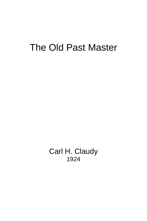# The Old Past Master

Carl H. Claudy 1924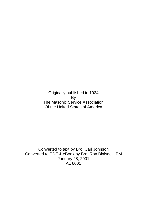Originally published in 1924 By The Masonic Service Association Of the United States of America

Converted to text by [Bro. Carl Johnson](mailto:cjohnson@ncia.com) Converted to PDF & eBook by [Bro. Ron Blaisdell,](mailto:ron@blaisdell.com) PM January 28, 2001 AL 6001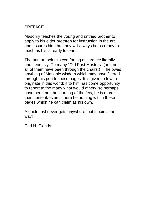#### PREFACE

Masonry teaches the young and untried brother to apply to his elder brethren for instruction in the art and assures him that they will always be as ready to teach as his is ready to learn.

The author took this comforting assurance literally and seriously. To many "Old Past Masters" (and not all of them have been through the chairs!) ... he owes anything of Masonic wisdom which may have filtered through his pen to these pages. It is given to few to originate in this world; if to him has come opportunity to report to the many what would otherwise perhaps have been but the learning of the few, he is more than content, even if there be nothing within these pages which he can claim as his own.

A guidepost never gets anywhere, but it points the way!

Carl H. Claudy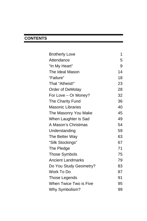## **CONTENTS**

| <b>Brotherly Love</b>    | 1  |
|--------------------------|----|
| Attendance               | 5  |
| "In My Heart"            | 9  |
| The Ideal Mason          | 14 |
| "Failure"                | 18 |
| That "Atheist!"          | 23 |
| Order of DeMolay         | 28 |
| For Love – Or Money?     | 32 |
| The Charity Fund         | 36 |
| <b>Masonic Libraries</b> | 40 |
| The Masonry You Make     | 45 |
| When Laughter is Sad     | 49 |
| A Mason's Christmas      | 54 |
| Understanding            | 59 |
| The Better Way           | 63 |
| "Silk Stockings"         | 67 |
| The Pledge               | 71 |
| <b>Those Symbols</b>     | 75 |
| <b>Ancient Landmarks</b> | 79 |
| Do You Study Geometry?   | 83 |
| Work To Do               | 87 |
| <b>Those Legends</b>     | 91 |
| When Twice Two is Five   | 95 |
| Why Symbolism?           | 99 |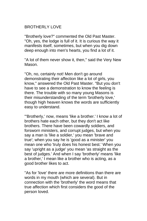### <span id="page-6-0"></span>BROTHERLY LOVE

"Brotherly love?" commented the Old Past Master. "Oh, yes, the lodge is full of it. It is curious the way it manifests itself, sometimes, but when you dig down deep enough into men's hearts, you find a lot of it.

"A lot of them never show it, then," said the Very New Mason.

"Oh, no, certainly not! Men don't go around demonstrating their affection like a lot of girls, you know," answered the Old Past Master. "But you don't have to see a demonstration to know the feeling is there. The trouble with so many young Masons is their misunderstanding of the term 'brotherly love,' though high heaven knows the words are sufficiently easy to understand.

"'Brotherly,' now, means 'like a brother.' I know a lot of brothers hate each other, but they don't act like brothers. There have been cowardly soldiers, and forsworn ministers, and corrupt judges, but when you say a man is 'like a soldier,' you mean 'brave and true'; when you say he is 'good as a minister' you mean one who 'truly does his honest best.' When you say 'upright as a judge' you mean 'as straight as the best of judges.' And when I say 'brotherly' means 'like a brother,' I mean like a brother who is acting, as a good brother likes to act.

"As for 'love' there are more definitions than there are words in my mouth (which are several). But in connection with the 'brotherly' the word means that true affection which first considers the good of the person loved.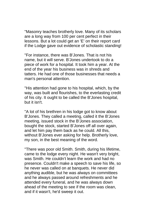"Masonry teaches brotherly love. Many of its scholars are a long way from 100 per cent perfect in their lessons. But a lot could get an 'E' on their report card if the Lodge gave out evidence of scholastic standing!

"For instance, there was B'Jones. That is not his name, but it will serve. B'Jones undertook to do a piece of work for a hospital. It took him a year. At the end of the year his business was in shreds and tatters. He had one of those businesses that needs a man's personal attention.

"His attention had gone to his hospital, which, by the way, was built and flourishes, to the everlasting credit of his city. It ought to be called the B'Jones hospital, but it isn't.

"A lot of his brethren in his lodge got to know about B'Jones. They called a meeting, called it the B'Jones meeting, issued stock in the B'Jones association, bought the stock, started B'Jones off all over again, and let him pay them back as he could. All this, without B'Jones ever asking for help. Brotherly love, my son, in the best meaning of the word.

"There was poor old Smith. Smith, during his lifetime, came to the lodge every night. He wasn't very bright, was Smith. He couldn't learn the work and had no presence. Couldn't make a speech to save his life, so he never was called on at banquets. He never did anything audible, but he was always on committees and he always passed around refreshments and he attended every funeral, and he was always down ahead of the meeting to see if the room was clean, and if it wasn't, he'd sweep it out.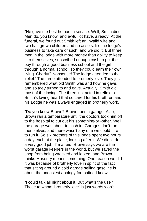"He gave the best he had in service. Well, Smith died. Men do, you know; and awful lot have, already. At the funeral, we found out Smith left an invalid wife and two half grown children and no assets. It's the lodge's business to take care of such, and we did it. But three men in the lodge with more money than ability to keep it to themselves, subscribed enough cash to put the boy through a good business school and the girl through a normal school, so they could earn their own living. Charity? Nonsense! The lodge attended to the 'relief.' The three attended to brotherly love. They just remembered what old Smith was and how he gave, and so *they* turned to and gave. Actually, Smith did most of the loving. The three just acted in reflex to Smith's loving heart that so cared for his brethren and his Lodge he was always engaged in brotherly work.

"Do you know Brown? Brown runs a garage. Also, Brown ran a temperature until the doctors took him off to the hospital to cut out his something-or -other. Well, the garage was about to cash in. Garages don't run themselves, and there wasn't any one we could hire to run it. So six brothers of this lodge spent two hours a day each at the place, looking after it. We didn't do a very good job, I'm afraid: Brown says we are the worst garage keepers in the world, but we saved the shop from being wrecked and looted, and Brown thinks Masonry means something. One reason we did it was because of brotherly love in spirit of the fact that sitting around a cold garage selling gasoline is about the uneasiest apology for loafing I know!

"I could talk all night about it. But what's the use? Those to whom 'brotherly love' is just words won't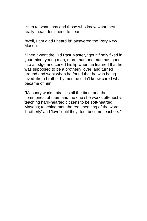listen to what I say and those who know what they really mean don't need to hear it."

"Well, I am glad I heard it!" answered the Very New Mason.

"Then," went the Old Past Master, "get it firmly fixed in your mind, young man, more than one man has gone into a lodge and curled his lip when he learned that he was supposed to be a brotherly lover, and turned around and wept when he found that he was being loved like a brother by men he didn't know cared what became of him.

"Masonry works miracles all the time, and the commonest of them and the one she works oftenest is teaching hard-hearted citizens to be soft-hearted Masons; teaching men the real meaning of the words 'brotherly' and 'love' until they, too, become teachers."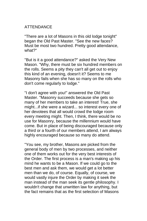#### <span id="page-10-0"></span>ATTENDANCE

"There are a lot of Masons in this old lodge tonight" began the Old Past Master. "See the new faces? Must be most two hundred. Pretty good attendance, what?"

"But is it a good attendance?" asked the Very New Mason. "Why, there must be six hundred members on the rolls. Seems a pity they can't all get out to enjoy this kind of an evening, doesn't it? Seems to me Masonry fails when she has so many on the rolls who don't come regularly to lodge."

"I don't agree with you!" answered the Old Past Master. "Masonry succeeds because she gets so many of her members to take an interest! True, she might...if she were a wizard... so interest every one of her devotees that all would crowd the lodge room every meeting might. Then, I think, there would be no use for Masonry, because the millennium would have come. But in place of being discouraged because only a third or a fourth of our members attend, I am always highly encouraged because so many do attend.

"You see, my brother, Masons are picked from the general body of men by two processes, and neither one of them works out for the very best interests of the Order. The first process is a man's making up his mind he wants to be a Mason. If we could go to the best men and ask them, we would get a lot better men than we do, of course. Equally, of course, we would vastly injure the Order by making it seek the man instead of the man seek its gentle philosophy. I wouldn't change that unwritten law for anything, but the fact remains that as the first selection of Masons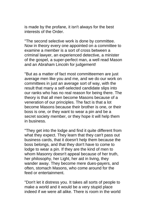is made by the profane, it isn't always for the best interests of the Order.

"The second selective work is done by committee. Now in theory every one appointed on a committee to examine a member is a sort of cross between a criminal lawyer, an experienced detective, a minister of the gospel, a super-perfect man, a well read Mason and an Abraham Lincoln for judgement!

"But as a matter of fact most committeemen are just average men like you and me, and we do our work on committees in just an average sort of way, with the result that many a self-selected candidate slips into our ranks who has no real reason for being there. The theory is that all men become Masons because of a veneration of our principles. The fact is that a lot become Masons because their brother is one, or their boss is one, or they want to wear a pin and be a secret society member, or they hope it will help them in business.

"They get into the lodge and find it quite different from what they expect. They learn that they can't pass out business cards, that it doesn't help them because the boss belongs, and that they don't have to come to lodge to wear a pin. If they are the kind of men to whom Masonry doesn't appeal because of her truth, her philosophy, her Light, her aid in living, they wander away. They become mere dues-payers, and often, stomach Masons, who come around for the feed or entertainment.

"Don't let it distress you. It takes all sorts of people to make a world and it would be a very stupid place indeed if we were all alike. There is room in the world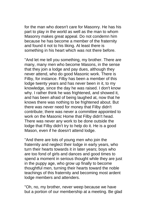for the man who doesn't care for Masonry. He has his part to play in the world as well as the man to whom Masonry makes great appeal. Do not condemn him because he has become a member of the fraternity and found it not to his liking. At least there is something in his heart which was not there before.

"And let me tell you something, my brother. There are many, many men who become Masons, in the sense that they join a lodge and pay dues, although they never attend, who do good Masonic work. There is Filby, for instance. Filby has been a member of this lodge twenty years and has never been in it, to my knowledge, since the day he was raised. I don't know why. I rather think he was frightened, and showed it, and has been afraid of being laughed at, now that he knows there was nothing to be frightened about. But there was never need for money that Filby didn't contribute; there was never a committee appointed to work on the Masonic Home that Filby didn't head. There was never any work to be done outside the lodge that Filby didn't try to help do it. He is a good Mason, even if he doesn't attend lodge.

"And there are lots of young men who join the fraternity and neglect their lodge in early years, who turn their hearts towards it in later years; boys who are too fond of girls and dances and good times to spend a moment in serious thought while they are just in the puppy age, who grow up finally to become thoughtful men, turning their hearts toward the noble teachings of this fraternity and becoming most ardent lodge members and attenders.

"Oh, no, my brother, never weep because we have but a portion of our membership at a meeting. Be glad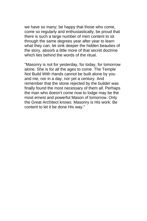we have so many; be happy that those who come, come so regularly and enthusiastically, be proud that there is such a large number of men content to sit through the same degrees year after year to learn what they can, let sink deeper the hidden beauties of the story, absorb a little more of that secret doctrine which lies behind the words of the ritual.

"Masonry is not for yesterday, for today, for tomorrow alone. She is for all the ages to come. The Temple Not Build With Hands cannot be built alone by you and me, nor in a day, nor yet a century. And remember that the stone rejected by the builder was finally found the most necessary of them all. Perhaps the man who doesn't come now to lodge may be the most ernest and powerful Mason of tomorrow. Only the Great Architect knows. Masonry is His work. Be content to let it be done His way."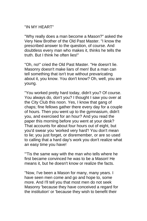#### <span id="page-14-0"></span>"IN MY HEART"

"Why really does a man become a Mason?" asked the Very New Brother of the Old Past Master. "I know the prescribed answer to the question, of course. And doubtless every man who makes it, thinks he tells the truth. But I think he often lies!"

"Oh, no!" cried the Old Past Master. "He doesn't lie. Masonry doesn't make liars of men! But a man can tell something that isn't true without prevaricating about it, you know. You don't know? Oh, well, you are young.

"You worked pretty hard today, didn't you? Of course. You always do, don't you? I thought I saw you over at the City Club this noon. Yes, I know that gang of chaps; fine fellows gather there every day for a couple of hours. Then you went up to the gymnasium, didn't you, and exercised for an hour? And you read the paper this morning before you went at your desk? That accounts for about four hours out of eight, but you'd swear you 'worked very hard'! You don't mean to lie; you just forget, or disremember, or are so used to calling that a hard day's work you don't realize what an easy time you have!

"'Tis the same way with the man who tells where he first became convinced he was to be a Mason! He means it, but he doesn't know or realize the facts.

"Now, I've been a Mason for many, many years. I have seen men come and go and hope to, some more. And I'll tell you that most men do not seek Masonry 'because they have conceived a regard for the institution' or 'because they wish to benefit their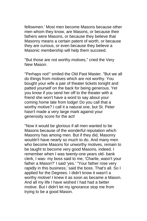fellowmen.' Most men become Masons because other men whom they know, are Masons, or because their fathers were Masons, or because they believe that Masonry means a certain patent of worth, or because they are curious, or even because they believe a Masonic membership will help them succeed.

"But those are not worthy motives," cried the Very New Mason.

"Perhaps not!" smiled the Old Past Master. "But we all do things from motives which are not worthy. You bought your wife a pair of theater tickets tonight and patted yourself on the back for being generous. Yet you know if you send her off to the theater with a friend she won't have a word to say about your coming home late from lodge! Do you call that a worthy motive? I call it a natural one, but St. Peter hasn't made a very large mark against your generosity score for the act!

"Now it would be glorious if all men wanted to be Masons because of the wonderful reputation which Masonry has among men. But if they did, Masonry wouldn't have nearly so much to do. And many men who become Masons for unworthy motives, remain to be taught to become very good Masons, indeed. I remember when I was twenty-one years old- bank clerk, I was- my boss said to me, 'Charlie, wasn't your father a Mason?' I said 'yes.' "Your father rose very rapidly in this business,' said the boss. That's all. So I applied for the Degrees. I didn't know it wasn't a worthy motive! I knew it as soon as became a Mason. And all my life I have wished I had had a better motive. But I didn't let my ignorance stop me from trying to be a good Mason.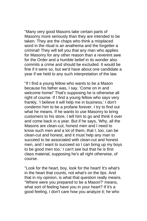"Many very good Masons take certain parts of Masonry more seriously than they are intended to be taken. They are the chaps who think a misplaced word in the ritual is an anathema and the forgetter a criminal! They will tell you that any man who applies for Masonry for any other reason than a reverent awe for the Order and a humble belief in its wonder also commits a crime and should be excluded. It would be fine if it were so, but we'd have about one candidate a year if we held to any such interpretation of the law.

"If I find a young fellow who wants to be a Mason because his father was, I say, 'Come on in and welcome home!' That's supposing he is otherwise all right of course. If I find a young fellow who says very frankly, 'I believe it will help me in business,' I don't condemn him to be a profane forever. I try to find out what he means. If he wants to use Masonry to bring customers to his store, I tell him to go and think it over and come back in a year. But if he says, 'Why, all the Masons are clean-cut, honest men and I need to know such men and a lot of them, that I, too, can be clean-cut and honest, and it must help any man to succeed to be associated with clean-cut and honest men, and I want to succeed so I can bring up my boys to be good men too,' I can't see but that he is first class material, supposing he's all right otherwise, of course.

"Look for the heart, boy, look for the heart! It's what's in the heart that counts, not what's on the lips. And that in my opinion, is what that question really means. "Where were you prepared to be a Mason?' means, what sort of feeling have you in your heart? If it's a good feeling, I don't care how you analyze it; he who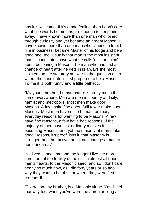has it is welcome. If it's a bad feeling, then I don't care what fine words he mouths, it's enough to keep him away. I have known more than one man who joined through curiosity and yet became an ardent Mason. I have known more than one man who slipped in to aid him in business, became Master of his lodge and be a good one, too! Usually that man is the most insistent that all candidates have what he calls 'a clean mind' about becoming a Mason! The man who has had a change of heart after he gets in is always the most insistent on the statutory answer to the question as to where the candidate is first prepared to be a Mason! To me it is both funny and a little pathetic.

"My young brother, human nature is pretty much the same everywhere. Men are men in country and city, hamlet and metropolis. Most men make good Masons. A few make fine ones. Still fewer make poor Masons. Most men have quite human, ordinary, everyday reasons for wanting to be Masons. A few have fine reasons, a few have bad reasons. If the majority of men have just ordinary motives for becoming Masons, and yet the majority of men make good Masons, it's proof, isn't it, that Masonry is stronger than the motive, and it can change a man to her standards?

I've lived a long time and the longer I live the more sure I am of the fertility of the soil in almost all good men's hearts, to the Masonic seed, and so I don't care nearly so much now, as I did forty years or so ago, why they want to be of us or where they were first prepared!

"Toleration, my brother, is a Masonic virtue. You'll feel that way too, when you've worn the apron as long as I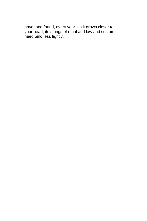have, and found, every year, as it grows closer to your heart, its strings of ritual and law and custom need bind less tightly."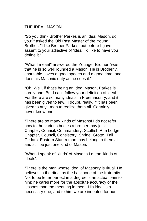#### <span id="page-19-0"></span>THE IDEAL MASON

"So you think Brother Parkes is an ideal Mason, do you?" asked the Old Past Master of the Young Brother. "I like Brother Parkes, but before I gave assent to your adjective of 'ideal' I'd like to have you define it."

"What I meant" answered the Younger Brother "was that he is so well rounded a Mason. He is Brotherly, charitable, loves a good speech and a good time, and does his Masonic duty as he sees it."

"Oh! Well, if that's being an ideal Mason, Parkes is surely one. But I can't follow your definition of ideal. For there are so many ideals in Freemasonry, and it has been given to few...I doubt, really, if it has been given to any...man to realize them all. Certainly I never knew one.

"There are so many kinds of Masons! I do not refer now to the various bodies a brother may join; Chapter, Council, Commandery, Scottish Rite Lodge, Chapter, Council, Consistory, Shrine, Grotto, Tall Cedars, Eastern Star; a man may belong to them all and still be just one kind of Mason.

"When I speak of 'kinds' of Masons I mean 'kinds of ideals'.

"There is the man whose ideal of Masonry is ritual. He believes in the ritual as the backbone of the fraternity. Not to be letter perfect in a degree is an actual pain to him; he cares more for the absolute accuracy of the lessons than the meaning in them. His ideal is a necessary one, and to him we are indebted for our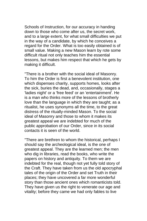Schools of Instruction, for our accuracy in handing down to those who come after us, the secret work, and to a large extent, for what small difficulties we put in the way of a candidate, by which he conceives a regard for the Order. What is too easily obtained is of small value. Making a new Mason learn by rote some difficult ritual not only teaches him the essential lessons, but makes him respect that which he gets by making it difficult.

"There is a brother with the social ideal of Masonry. To him the Order is first a benevolent institution, one which dispenses charity, supports homes, looks after the sick, buries the dead, and, occasionally, stages a 'ladies night' or a 'free feed' or an 'entertainment'. He is a man who thinks more of the lessons of brotherly love than the language in which they are taught; as a ritualist, he uses synonyms all the time, to the great distress of the ritually-minded Mason. To the social ideal of Masonry and those to whom it makes its greatest appeal we are indebted for much of the public approbation of our Order, since in its social contacts it is seen of the world.

"There are brethren to whom the historical, perhaps I should say the archeological ideal, is the one of greatest appeal. They are the learned men; the men who dig in libraries, read the books, who write the papers on history and antiquity. To them we are indebted for the real, though not yet fully told story of the Craft. They have taken from us the old apocryphal tales of the origin of the Order and set Truth in their places; they have uncovered a far more wonderful story than those ancient ones which romanticists told. They have given us the right to venerate our age and vitality; before they came we had only fables to live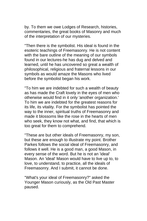by. To them we owe Lodges of Research, histories, commentaries, the great books of Masonry and much of the interpretation of our mysteries.

"Then there is the symbolist. His ideal is found in the esoteric teachings of Freemasonry. He is not content with the bare outline of the meaning of our symbols found in our lectures-he has dug and delved and learned, until he has uncovered so great a wealth of philosophical, religious and fraternal lessons in our symbols as would amaze the Masons who lived before the symbolist began his work.

"To him we are indebted for such a wealth of beauty as has made the Craft lovely in the eyes of men who otherwise would find in it only 'another organization.' To him we are indebted for the greatest reasons for its life, its vitality. For the symbolist has pointed the way to the inner, spiritual truths of Freemasonry and made it blossoms like the rose in the hearts of men who seek, they know not what, and find, that which is too great for them to comprehend.

"These are but other ideals of Freemasonry, my son, but these are enough to illustrate my point. Brother Parkes follows the social ideal of Freemasonry, and follows it well. He is a good man, a good Mason, in every sense of the word. But he is not an 'ideal' Mason. An 'ideal' Mason would have to live up to, to love, to understand, to practice, all the ideals of Freemasonry. And I submit, it cannot be done.

"What's your ideal of Freemasonry?" asked the Younger Mason curiously, as the Old Past Master paused.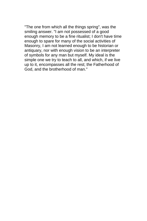"The one from which all the things spring", was the smiling answer. "I am not possessed of a good enough memory to be a fine ritualist; I don't have time enough to spare for many of the social activities of Masonry, I am not learned enough to be historian or antiquary, nor with enough vision to be an interpreter of symbols for any man but myself. My ideal is the simple one we try to teach to all, and which, if we live up to it, encompasses all the rest; the Fatherhood of God, and the brotherhood of man."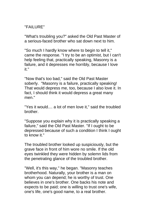<span id="page-23-0"></span>"FAILURE"

"What's troubling you?" asked the Old Past Master of a serious-faced brother who sat down next to him.

"So much I hardly know where to begin to tell it," came the response. "I try to be an optimist, but I can't help feeling that, practically speaking, Masonry is a failure, and it depresses me horribly, because I love it."

"Now that's too bad," said the Old Past Master soberly. "Masonry is a failure, practically speaking! That would depress me, too, because I also love it. In fact, I should think it would depress a great many men."

"Yes it would.... a lot of men love it," said the troubled brother.

"Suppose you explain why it is practically speaking a failure," said the Old Past Master. "If I ought to be depressed because of such a condition I think I ought to know it."

The troubled brother looked up suspiciously, but the grave face in front of him wore no smile. If the old eyes twinkled they were hidden by solemn lids from the penetrating glance of the troubled brother.

"Well, it's this way," he began. "Masonry teaches brotherhood. Naturally, your brother is a man on whom you can depend; he is worthy of trust. One believes in one's brother. One backs his note and expects to be paid; one is willing to trust one's wife, one's life, one's good name, to a real brother.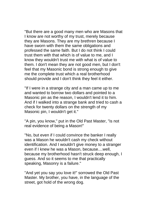"But there are a good many men who are Masons that I know are not worthy of my trust, merely because they are Masons. They are my brethren because I have sworn with them the same obligations and professed the same faith. But I do not think I could trust them with that which is of value to me, and I know they wouldn't trust me with what is of value to them. I don't mean they are not good men, but I don't feel that my Masonic bond is strong enough to give me the complete trust which a real brotherhood should provide and I don't think they feel it either.

"If I were in a strange city and a man came up to me and wanted to borrow two dollars and pointed to a Masonic pin as the reason, I wouldn't lend it to him. And if I walked into a strange bank and tried to cash a check for twenty dollars on the strength of my Masonic pin, I wouldn't get it."

"A pin, you know," put in the Old Past Master, "is not real evidence of being a Mason!"

"No, but even if I could convince the banker I really was a Mason he wouldn't cash my check without identification. And I wouldn't give money to a stranger even if I knew he was a Mason, because....well, because my brotherhood hasn't struck deep enough, I guess. And so it seems to me that practically speaking, Masonry is a failure."

"And yet you say you love it!" sorrowed the Old Past Master. My brother, you have, in the language of the street, got hold of the wrong dog.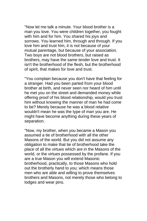"Now let me talk a minute. Your blood brother is a man you love. You were children together, you fought with him and for him. You shared his joys and sorrows. You learned him, through and through. If you love him and trust him, it is not because of your mutual parentage, but because of your association. Two boys are not blood brothers, but raised as brothers, may have the same tender love and trust. It isn't the brotherhood of the flesh, but the brotherhood of spirit, that makes for love and trust.

"You complain because you don't have that feeling for a stranger. Had you been parted from your blood brother at birth, and never seen nor heard of him until he met you on the street and demanded money while offering proof of his blood relationship, would you trust him without knowing the manner of man he had come to be? Merely because he was a blood relative wouldn't mean he was the type of man you are. He might have become anything during these years of separation.

"Now, my brother, when you became a Mason you assumed a tie of brotherhood with all the other Masons of the world. But you did not assume any obligation to make that tie of brotherhood take the place of all the virtues which are in the Masons of the world, or the virtues possessed by the profane. If you are a true Mason you will extend Masonic brotherhood, practically, to those Masons who hold out the brotherly hand to you; which means those men who are able and willing to prove themselves brothers and Masons, not merely those who belong to lodges and wear pins.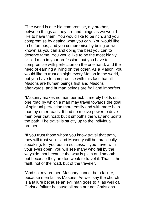"The world is one big compromise, my brother, between things as they are and things as we would like to have them. You would like to be rich, and you compromise by getting what you can. You would like to be famous, and you compromise by being as well known as you can and doing the best you can to deserve fame. You would like to be the most highly skilled man in your profession, but you have to compromise with perfection on the one hand, and the need of earning a living on the other. As a Mason, you would like to trust on sight every Mason in the world, but you have to compromise with this fact that all Masons are human beings first and Masons afterwards, and human beings are frail and imperfect.

"Masonry makes no man perfect. It merely holds out one road by which a man may travel towards the goal of spiritual perfection more easily and with more help than by other roads. It had no motive power to drive men over that road; but it smooths the way and points the path. The travel is strictly up to the individual brother.

"If you trust those whom you know travel that path, they will trust you....and Masonry will be, practically speaking, for you both a success. If you travel with your eyes open, you will see many who fall by the wayside, not because the way is plain and smooth, but because they are too weak to travel it. That is the fault, not of the road, but of the traveler.

"And so, my brother, Masonry cannot be a failure, because men fail as Masons. As well say the church is a failure because an evil man goes to it; as well call Christ a failure because all men are not Christians.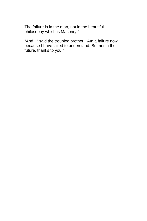The failure is in the man, not in the beautiful philosophy which is Masonry."

"And I," said the troubled brother, "Am a failure now because I have failed to understand. But not in the future, thanks to you."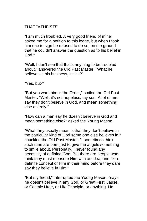#### <span id="page-28-0"></span>THAT "ATHEIST!"

"I am much troubled. A very good friend of mine asked me for a petition to this lodge, but when I took him one to sign he refused to do so, on the ground that he couldn't answer the question as to his belief in God."

"Well, I don't see that that's anything to be troubled about," answered the Old Past Master. "What he believes is his business, isn't it?"

"Yes, but-"

"But you want him in the Order," smiled the Old Past Master. "Well, it's not hopeless, my son. A lot of men say they don't believe in God, and mean something else entirely."

"How can a man say he doesn't believe in God and mean something else?" asked the Young Mason.

"What they usually mean is that they don't believe in the particular kind of God some one else believes in!" chuckled the Old Past Master. "I sometimes think such men are born just to give the angels something to smile about. Personally, I never found any necessity of defining God. But there are people who think they must measure Him with an idea, and fix a definite concept of Him in their mind before they dare say they believe in Him."

"But my friend," interrupted the Young Mason, "says he doesn't believe in any God, or Great First Cause, or Cosmic Urge, or Life Principle, or anything. He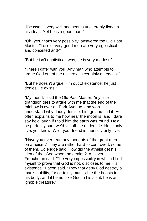discusses it very well and seems unalterably fixed in his ideas. Yet he is a good man."

"Oh, yes, that's very possible," answered the Old Past Master. "Lot's of very good men are very egotistical and conceited and-"

"But he isn't egotistical- why, he is very modest."

"There I differ with you. Any man who attempts to argue God out of the universe is certainly an egotist."

"But he doesn't argue Him out of existence; he just denies He exists."

"My friend," said the Old Past Master, "my little grandson tries to argue with me that the end of the rainbow is over on Park Avenue, and won't understand why daddy don't let him go and find it. He often explains to me how near the moon is, and I dare say he'd laugh if I told him the earth was round. He'd be perfectly sure we'd fall off the underside. He is only five, you know. Well, your friend is mentally only five.

"Have you ever read any thoughts of the great men on atheism? They are rather hard to controvert, some of them. Coleridge said 'How did the atheist get his idea of that God whom he denies?' A clever Frenchman said, 'The very impossibility in which I find myself to prove that God is not, discloses to me His existence.' Bacon said, 'They that deny God destroy a man's nobility; for certainly man is like the beasts in his body, and if he not like God in his spirit, he is an ignoble creature.'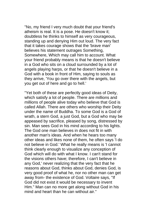"No, my friend I very much doubt that your friend's atheism is real. It is a pose. He doesn't know it; doubtless he thinks to himself as very courageous, standing up and denying Him out loud. The very fact that it takes courage shows that the 'brave man' believes his statement outrages Something, Somewhere, Which may call him to account. What your friend probably means is that he doesn't believe in a God who sits on a cloud surrounded by a lot of angels playing harps, or that he doesn't believe in a God with a book in front of Him, saying to souls as they arrive, 'You go over there with the angels, but you get out of here and go to hell.'

"Yet both of these are perfectly good ideas of Deity, which satisfy a lot of people. There are millions and millions of people alive today who believe that God is called Allah. There are others who worship their Deity under the name of Buddha. To some God is a God of wrath, a stern God, a just God, but a God who may be appeased by sacrifice, pleased by song, distressed by sin. Man sees God in his mind according to his lights. The God one man believes in does not fit in with another man's ideas. And when he hears too many other ideas and likes none of them, he often says 'I do not believe in God.' What he really means is 'I cannot think clearly enough to visualize any conception of God which will do with what I know. I can't stand for the visions others have; therefore, I can't believe in any God,' never realizing that the very fact that he reasons about God, thinks about God, denies God, is very good proof of what he, nor no other man can get away from- the existence of God. Voltaire says, "If God did not exist it would be necessary to invent Him." Man can no more get along without God in his mind and heart than he can without air."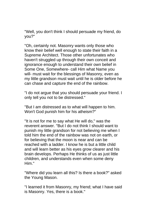"Well, you don't think I should persuade my friend, do you?"

"Oh, certainly not. Masonry wants only those who know their belief well enough to state their faith in a Supreme Architect. Those other unfortunates who haven't struggled up through their own conceit and ignorance enough to understand their own belief in Some One, Somewhere- call Him what Name you will- must wait for the blessings of Masonry, even as my little grandson must wait until he is older before he can chase and capture the end of the rainbow.

"I do not argue that you should persuade your friend. I only tell you not to be distressed."

"But I am distressed as to what will happen to him. Won't God punish him for his atheism?"

"It is not for me to say what He will do," was the reverent answer. "But I do not think I should want to punish my little grandson for not believing me when I told him the end of the rainbow was not on earth, or for believing that the moon is near and can be reached with a ladder. I know he is but a little child and will learn better as his eyes grow clearer and his brain develops. Perhaps He thinks of us as just little children, and understands even when some deny Him."

"Where did you learn all this? Is there a book?" asked the Young Mason.

"I learned it from Masonry, my friend; what I have said is Masonry. Yes, there is a book."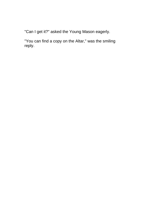"Can I get it?" asked the Young Mason eagerly.

"You can find a copy on the Altar," was the smiling reply.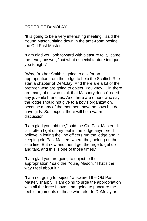#### <span id="page-33-0"></span>ORDER OF DeMOLAY

"It is going to be a very interesting meeting," said the Young Mason, sitting down in the ante-room beside the Old Past Master.

"I am glad you look forward with pleasure to it," came the ready answer, "but what especial feature intrigues you tonight?"

"Why, Brother Smith is going to ask for an appropriation from the lodge to help the Scottish Rite start a chapter of DeMolay. And there are a lot of the brethren who are going to object. You know, Sir, there are many of us who think that Masonry doesn't need any juvenile branches. And there are others who say the lodge should not give to a boy's organization, because many of the members have no boys but do have girls. So I expect there will be a warm discussion."

"I am glad you told me," said the Old Past Master. "It isn't often I get on my feet in the lodge anymore; I believe in letting the line officers run the lodge and in keeping old Past Masters where they belong on the side line. But now and then I get the urge to get up and talk, and this is one of those times."

"I am glad you are going to object to the appropriation," said the Young Mason. "That's the way I feel about it."

"I am not going to object," answered the Old Past Master, sharply. "I am going to urge the appropriation with all the force I have. I am going to puncture the feeble arguments of those who refer to DeMolay as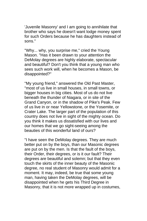'Juvenile Masonry' and I am going to annihilate that brother who says he doesn't want lodge money spent for such Orders because he has daughters instead of sons."

"Why... why, you surprise me," cried the Young Mason. "Has it been drawn to your attention the DeMolay degrees are highly elaborate, spectacular and beautiful? Don't you think that a young man who sees such work will, when he becomes a Mason, be disappointed?"

"My young friend," answered the Old Past Master, "most of us live in small houses, in small towns, or bigger houses in big cities. Most of us do not live beneath the thunder of Niagara, or in site of the Grand Canyon, or in the shadow of Pike's Peak. Few of us live in or near Yellowstone, or the Yosemite, or Crater Lake. The larger part of the population of this country does not live in sight of the mighty ocean. Do you think it makes us dissatisfied with our lives and our homes that we go sight-seeing among the beauties of this wonderful land of ours?

"I have seen the DeMolay degrees. They are much better put on by the boys, than our Masonic degrees are put on by the men. Is that the fault of the boys, their Order, their degrees, or is it our fault? Their degrees are beautiful and solemn; but that they even touch the skirts of the inner beauty of the Masonic degree, no real student of Masonry would admit for a moment. It may, indeed, be true that some young man, having taken the DeMolay degrees, will be disappointed when he gets his Third Degree in Masonry, that it is not more wrapped up in costumes,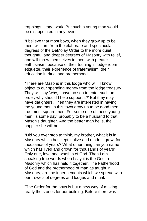trappings, stage work. But such a young man would be disappointed in any event.

"I believe that most boys, when they grow up to be men, will turn from the elaborate and spectacular degrees of the DeMolay Order to the more quiet, thoughtful and deeper degrees of Masonry with relief, and will throw themselves in them with greater enthusiasm, because of their training in lodge room etiquette, their experience of fraternalism, their education in ritual and brotherhood.

"There are Masons in this lodge who will, I know, object to our spending money from the lodge treasury. They will say 'why, I have no son to enter such an order, why should I help support it?' But they may have daughters. Then they are interested in having the young men in this town grow up to be good men, true men, square men. For some one of these young men, is some day, probably to be a husband to that Mason's daughter. And the better man he is, the happier she will be.

"Did you ever stop to think, my brother, what it is in Masonry which has kept it alive and made it grow, for thousands of years? What other thing can you name which has lived and grown for thousands of years? Only one, love and worship of God. Then I am speaking true words when I say it is the God in Masonry which has held it together. The Fatherhood of God and the brotherhood of man as taught in Masonry, are the inner cements which we spread with our trowels of degrees and lodges and ritual.

"The Order for the boys is but a new way of making ready the stones for our building. Before there was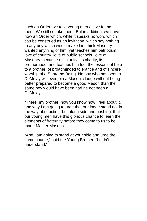such an Order, we took young men as we found them. We still so take them. But in addition, we have now an Order which, while it speaks no word which can be construed as an invitation, which say nothing to any boy which would make him think Masonry wanted anything of him, yet teaches him patriotism, love of country, love of public schools, love of Masonry, because of its unity, its charity, its brotherhood, and teaches him too, the lessons of help to a brother, of broadminded tolerance and of sincere worship of a Supreme Being. No boy who has been a DeMolay will ever join a Masonic lodge without being better prepared to become a good Mason than the same boy would have been had he not been a DeMolay.

"There, my brother, now you know how I feel about it, and why I am going to urge that our lodge stand not in the way obstructing, but along side and pushing, that our young men have this glorious chance to learn the elements of fraternity before they come to us to be made Master Masons."

"And I am going to stand at your side and urge the same course," said the Young Brother. "I didn't understand."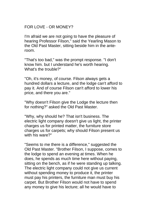FOR LOVE - OR MONEY?

I'm afraid we are not going to have the pleasure of hearing Professor Filson," said the Yearling Mason to the Old Past Master, sitting beside him in the anteroom.

"That's too bad," was the prompt response. "I don't know him. but I understand he's worth hearing. What's the trouble?"

"Oh, it's money, of course. Filson always gets a hundred dollars a lecture, and the lodge can't afford to pay it. And of course Filson can't afford to lower his price, and there you are."

"Why doesn't Filson give the Lodge the lecture then for nothing?" asked the Old Past Master.

"Why, why should he? That isn't business. The electric light company doesn't give us light, the printer charges us for printed matter, the furniture store charges us for carpets; why should Filson present us with his ware?"

"Seems to me there is a difference," suggested the Old Past Master. "Brother Filson, I suppose, comes to the lodge to spend an evening at times. When he does, he spends as much time here without paying, sitting on the bench, as if he were standing up talking. The electric light company could not give us current without spending money to produce it, the printer must pay his printers, the furniture man must buy his carpet. But Brother Filson would not have to spend any money to give his lecture; all he would have to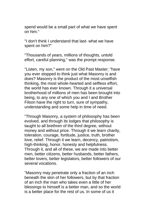spend would be a small part of what we have spent on him."

"I don't think I understand that last- what we have spent on him?"

"Thousands of years, millions of thoughts, untold effort, careful planning," was the prompt response.

"Listen, my son," went on the Old Past Master; "have you ever stopped to think just what Masonry is and does? Masonry is the product of the most unselfish thinking, the most whole-hearted and selfless effort, the world has ever known. Through it a universal brotherhood of millions of men has been brought into being, to any one of which you and I and Brother Filson have the right to turn, sure of sympathy, understanding and some help in time of need.

"Through Masonry, a system of philosophy has been evolved, and through its lodges that philosophy is taught to all brethren of the third degree, without money and without price. Through it we learn charity, toleration, courage, fortitude, justice, truth, brother love, relief. Through it we learn, decency, patriotism, high-thinking, honor, honesty and helpfulness. Through it, and all of these, we are made into better men, better citizens, better husbands, better fathers, better lovers, better legislators, better followers of our several vocations.

"Masonry may penetrate only a fraction of an inch beneath the skin of her followers, but by that fraction of an inch the man who takes even a little of her blessings to himself is a better man, and so the world is a better place for the rest of us. In some of us it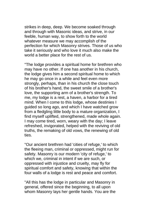strikes in deep, deep. We become soaked through and through with Masonic ideas, and strive, in our feeble, human way, to show forth to the world whatever measure we may accomplish of the perfection for which Masonry strives. Those of us who take it seriously and who love it much also make the world a better place for the rest of us.

"The lodge provides a spiritual home for brethren who may have no other. If one has another in his church, the lodge gives him a second spiritual home to which he may go once in a while and feel even more strongly, perhaps, than in his church the close touch of his brother's hand, the sweet smile of a brother's love, the supporting arm of a brother's strength. To me, my lodge is a rest, a haven, a harbor for a tired mind. When I come to this lodge, whose destinies I guided so long ago, and which I have watched grow from a fledgling little body to a mature organization, I find myself uplifted, strengthened, made whole again. I may come tired, worn, weary with the day; I leave refreshed, invigorated, helped with the reviving of old truths, the remaking of old vows, the renewing of old ties.

"Our ancient brethren had 'cities of refuge,' to which the fleeing man, criminal or oppressed, might run for safety. Masonry is our modern 'city of refuge,' to which we, criminal in intent if we are such, or oppressed with injustice and cruelty, may fly for spiritual comfort and safety, knowing that within the four walls of a lodge is rest and peace and comfort.

"All this has the lodge in particular and Masonry in general, offered since the beginning, to all upon whom Masonry lays her gentle hands. You are the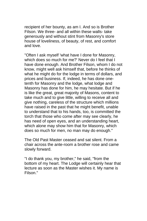recipient of her bounty, as am I. And so is Brother Filson. We three- and all within these walls- take generously and without stint from Masonry's store house of loveliness, of beauty, of rest, and comfort and love.

"Often I ask myself 'what have I done for Masonry, which does so much for me?' Never do I feel that I have done enough. And Brother Filson, whom I do not know, might well ask himself that, before he thinks of what he might do for the lodge in terms of dollars, and prices and business. If, indeed, he has done onetenth for Masonry and the lodge, what lodge and Masonry has done for him, he may hesitate. But if he is like the great, great majority of Masons, content to take much and to give little, willing to receive all and give nothing, careless of the structure which millions have raised in the past that he might benefit, unable to understand that to his hands, too, is committed the torch that those who come after may see clearly, he has need of open eyes, and an understanding heart, which alone may show him that for Masonry, which does so much for men, no man may do enough."

The Old Past Master ceased and sat silent. From a chair across the ante-room a brother rose and came slowly forward.

"I do thank you, my brother," he said, "from the bottom of my heart. The Lodge will certainly hear that lecture as soon as the Master wishes it. My name is Filson."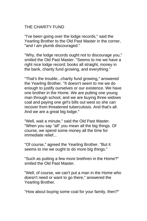# THE CHARITY FUND

"I've been going over the lodge records," said the Yearling Brother to the Old Past Master in the corner, "and I am plumb discouraged."

"Why, the lodge records ought not to discourage you," smiled the Old Past Master. "Seems to me we have a right nice lodge record; books all straight, money in the bank, charity fund growing, and everything."

"That's the trouble...charity fund growing," answered the Yearling Brother. "It doesn't seem to me we do enough to justify ourselves or our existence. We have one brother in the Home. We are putting one young man through school, and we are buying three widows coal and paying one girl's bills out west so she can recover from threatened tuberculosis. And that's all. And we are a great big lodge."

"Well, wait a minute," said the Old Past Master. "When you say "all" you mean all the big things. Of course, we spend some money all the time for immediate relief...

"Of course," agreed the Yearling Brother. "But it seems to me we ought to do more big things."

"Such as putting a few more brethren in the Home?" smiled the Old Past Master.

"Well, of course, we can't put a man in the Home who doesn't need or want to go there," answered the Yearling Brother.

"How about buying some coal for your family, then?"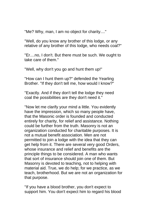"Me? Why, man, I am no object for charity...."

"Well, do you know any brother of this lodge, or any relative of any brother of this lodge, who needs coal?"

"Er....no, I don't. But there must be such. We ought to take care of them."

"Well, why don't you go and hunt them up!"

"How can I hunt them up?" defended the Yearling Brother. "If they don't tell me, how would I know?"

"Exactly. And if they don't tell the lodge they need coal the possibilities are they don't need it."

"Now let me clarify your mind a little. You evidently have the impression, which so many people have, that the Masonic order is founded and conducted entirely for charity, for relief and assistance. Nothing could be further from the truth. Masonry is not an organization conducted for charitable purposes. It is not a mutual benefit association. Men are not permitted to join a lodge with the idea that they can get help from it. There are several very good Orders, whose insurance and relief and benefits are the principle things to be considered. A man who wants that sort of insurance should join one of them. But Masonry is devoted to teaching, not to helping with material aid. True, we do help; for we practice, as we teach, brotherhood. But we are not an organization for that purpose.

"If you have a blood brother, you don't expect to support him. You don't expect him to regard his blood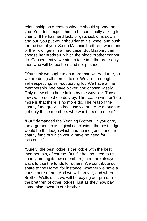relationship as a reason why he should sponge on you. You don't expect him to be continually asking for charity. If he has hard luck, or gets sick or is down and out, you put your shoulder to his wheel and push for the two of you. So do Masonic brethren, when one of their own gets in a hard case. But Masonry can choose her brethren, which the blood brother cannot do. Consequently, we aim to take into the order only men who will be pushers and not pushees.

"You think we ought to do more than we do. I tell you we are doing all there is to do. We are an upright, self-respecting, self-supporting lot. We have a fine membership. We have picked and chosen wisely. Only a few of us have fallen by the wayside. Those few we do our whole duty by. The reason we don't do more is that there is no more do. The reason the charity fund grows is because we are wise enough to get only those members who won't need to use it."

"But," demanded the Yearling Brother. "If you carry the argument to its logical conclusion, the best lodge would be the lodge which had no indigents, and the charity fund of which would have no need for existence."

"Surely, the best lodge is the lodge with the best membership, of course. But if it has no need to use charity among its own members, there are always ways to use the funds for others. We contribute our share to the Home, for instance, whether we have a guest there or not. And we will forever, and when Brother Wells dies, we will be paying our pro rata for the brethren of other lodges, just as they now pay something towards our brother.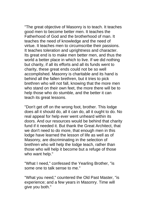"The great objective of Masonry is to teach. It teaches good men to become better men. It teaches the Fatherhood of God and the brotherhood of man. It teaches the need of knowledge and the need of virtue. It teaches men to circumscribe their passions. It teaches toleration and uprightness and character. Its great end is to make men better men, and thus the world a better place in which to live. If we did nothing but charity, if all its efforts and all its funds went to charity, these great ends could not be so well accomplished. Masonry is charitable and its hand is behind all the fallen brethren, but it tries to pick brethren who will not fall, knowing that the more men who stand on their own feet, the more there will be to help those who do stumble, and the better it can teach its great lessons.

"Don't get off on the wrong foot, brother. This lodge does all it should do, all it can do, all it ought to do. No real appeal for help ever went unheard within its doors. And our resources would be behind that charity fund if it needed it. But thank the Great Architect, that we don't need to do more, that enough men in this lodge have learned the lesson of life as well as of Masonry, are discriminating in the selection of brethren who will help the lodge teach, rather than those who will help it become but a refuge of those who want help."

"What I need," confessed the Yearling Brother, "is some one to talk sense to me."

"What you need," countered the Old Past Master, "is experience; and a few years in Masonry. Time will give you both."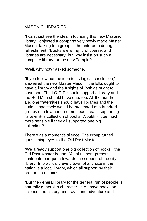# MASONIC LIBRARIES

"I can't just see the idea in founding this new Masonic library," objected a comparatively newly made Master Mason, talking to a group in the anteroom during refreshment. "Books are all right, of course, and libraries are necessary, but why insist on such a complete library for the new Temple?"

"Well, why not?" asked someone.

"If you follow out the idea to its logical conclusion," answered the new Master Mason, "the Elks ought to have a library and the Knights of Pythias ought to have one. The I.O.O.F. should support a library and the Red Men should have one, too. All the hundred and one fraternities should have libraries and the curious spectacle would be presented of a hundred groups of a few hundred men each, each supporting its own little collection of books. Wouldn't it be much more sensible if they all supported one big collection?"

There was a moment's silence. The group turned questioning eyes to the Old Past Master.

"We already support one big collection of books," the Old Past Master began. "All of us here present contribute our quota towards the support of the city library. In practically every town of any size in the nation is a local library, which all support by their proportion of taxes.

"But the general library for the general run of people is naturally general in character. It will have books on science and history and travel and adventure and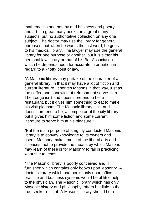mathematics and botany and business and poetry and art....a great many books on a great many subjects, but no authoritative collection on any one subject. The doctor may use the library for general purposes, but when he wants the last word, he goes to his medical library. The lawyer may use the general library for one purpose or another, but it is either his personal law library or that of his Bar Association which he depends upon for accurate information in regard to a knotty point of law.

"A Masonic library may partake of the character of a general library, in that it may have a lot of fiction and current literature. It serves Masons in that way, just as the coffee and sandwich at refreshment serves him. The Lodge isn't and doesn't pretend to be, a restaurant, but it gives him something to eat to make his visit pleasant. The Masonic library isn't, and doesn't pretend to be, a competitor of the city library, but it gives him some fiction and some current literature to serve him at his pleasure."

"But the main purpose of a rightly conducted Masonic library is to convey knowledge to its owners and users. Masonry makes much of the liberal arts and sciences; not to provide the means by which Masons may learn of these is for Masonry to fail in practicing what she teaches.

"The Masonic library is poorly conceived and ill furnished which contains only books upon Masonry. A doctor's library which had books only upon office practice and business systems would be of little help to the physician. The Masonic library which has only Masonic history and philosophy, offers but little to the true seeker of light. A Masonic library should be a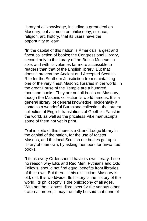library of all knowledge, including a great deal on Masonry, but as much on philosophy, science, religion, art, history, that its users have the opportunity to learn.

"In the capital of this nation is America's largest and finest collection of books; the Congressional Library, second only to the library of the British Museum in size, and with its volumes far more accessible to readers than that of the English library. But that doesn't prevent the Ancient and Accepted Scottish Rite for the Southern Jurisdiction from maintaining one of the very finest Masonic libraries in the world. In the great House of the Temple are a hundred thousand books. They are not all books on Masonry, though the Masonic collection is world famous. It is a general library, of general knowledge. Incidentally it contains a wonderful Burnsiana collection, the largest collection of English translations of Goethe's Faust in the world, as well as the priceless Pike manuscripts, some of them not yet in print.

"Yet in spite of this there is a Grand Lodge library in the capital of the nation, for the use of Master Masons, and the local Scottish rite bodies got up a library of their own, by asking members for unwanted books.

"I think every Order should have its own library. I see no reason why Elks and Red Men, Pythians and Odd Fellows, should not find equal benefits from libraries of their own. But there is this distinction; Masonry is old, old. It is worldwide. Its history is the history of the world. Its philosophy is the philosophy of all ages. With not the slightest disrespect for the various other fraternal orders, it may truthfully be said that none of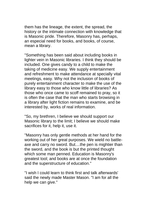them has the lineage, the extent, the spread, the history or the intimate connection with knowledge that is Masonic pride. Therefore, Masonry has, perhaps, an especial need for books, and books, of course, mean a library.

"Something has been said about including books in lighter vein in Masonic libraries. I think they should be included. One gives candy to a child to make the taking of medicine easy. We supply entertainment and refreshment to make attendance at specially vital meetings, easy. Why not the inclusion of books of purely entertainment character to make the use of the library easy to those who know little of libraries? As those who once came to scoff remained to pray, so it is often the case that the man who starts browsing in a library after light fiction remains to examine, and be interested by, works of real information.

"So, my brethren, I believe we should support our Masonic library to the limit; I believe we should make sacrifices for it, help it, use it.

"Masonry has only gentle methods at her hand for the working out of her great purposes. We wield no battleaxe and carry no sword. But....the pen is mightier than the sword, and the book is but the printed thought which some man penned. Education is Masonry's greatest tool; and books are at once the foundation and the superstructure of education."

"I wish I could learn to think first and talk afterwards' said the newly made Master Mason. "I am for all the help we can give."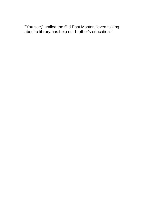"You see," smiled the Old Past Master, "even talking about a library has help our brother's education."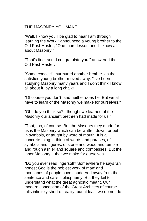# THE MASONRY YOU MAKE

"Well, I know you'll be glad to hear I am through learning the Work!" announced a young brother to the Old Past Master, "One more lesson and I'll know all about Masonry!"

"That's fine, son. I congratulate you!" answered the Old Past Master.

"Some conceit!" murmured another brother, as the satisfied young brother moved away. "I've been studying Masonry many years and I don't think I know all about it, by a long chalk!"

"Of course you don't, and neither does he. But we all have to learn of the Masonry we make for ourselves."

"Oh, do you think so? I thought we learned of the Masonry our ancient brethren had made for us!"

"That, too, of course. But the Masonry they made for us is the Masonry which can be written down, or put in symbols, or taught by word of mouth. It is a concrete thing; a thing of words and phrases, of symbols and figures, of stone and wood and temple and rough ashler and square and compasses. But the inner Masonry... that we make for ourselves.

"Do you ever read Ingersoll? Somewhere he says 'an honest God is the noblest work of man' and thousands of people have shuddered away from the sentence and calls it blasphemy. But they fail to understand what the great agnostic meant. Our modern conception of the Great Architect of course falls infinitely short of reality, but at least we do not do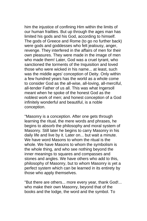him the injustice of confining Him within the limits of our human frailties. But up through the ages man has limited his gods and his God, according to himself. The gods of Greece and Rome (to go no further back) were gods and goddesses who felt jealousy, anger, revenge. They interfered in the affairs of men for their own pleasures. They were made in the image of men who made them! Later, God was a cruel tyrant, who sanctioned the torments of the Inquisition and loved those who were wicked in his name... at least, such was the middle ages' conception of Deity. Only within a few hundred years has the world as a whole come to consider God as the all-wise, all-loving, all-merciful, all-tender Father of us all. This was what Ingersoll meant when he spoke of the honest God as the noblest work of men; and honest conception of a God infinitely wonderful and beautiful, is a noble conception.

"Masonry is a conception. After one gets through learning the ritual, the mere words and phrases, he begins to absorb the philosophy and moral system of Masonry. Still later he begins to carry Masonry in his daily life and live by it. Later on... but wait a minute. We have word Masons to whom the ritual is the whole. We have Masons to whom the symbolism is the whole thing, and who see nothing beyond the inner meanings to squares and compasses and stones and angles. We have others who add to this, philosophy of Masonry, but to whom Masonry is yet a perfect system which can be learned in its entirety by those who apply themselves.

"But there are others... more every year, thank God!... who make their own Masonry, beyond that of the books and the lodge, the word and the symbol. To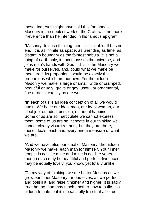these, Ingersoll might have said that 'an honest Masonry is the noblest work of the Craft' with no more irreverence than he intended in his famous epigram.

"Masonry, to such thinking men, is illimitable. It has no end. It is as infinite as space, as unending as time, as distant in boundary as the faintest nebula. It is not a thing of earth only; it encompasses the universe, and joins man's hands with God. This is the Masonry we make for ourselves, and, could what we make be measured, its proportions would be exactly the proportions which are our own. For the hidden Masonry we make is large or small, wide or cramped, beautiful or ugly, grave or gay, useful or ornamental, fine or doss, exactly as are we.

"In each of us is an idea conception of all we would attain. We have our ideal man, our ideal woman, our ideal job, our ideal position, our ideal happiness. Some of us are so inarticulate we cannot express them; some of us are so inchoate in our thinking we cannot clearly visualize them, but they are there, these ideals, each and every one a measure of what we are.

"And we have, also our ideal of Masonry, the hidden Masonry we make, each man for himself. Your inner temple is not like mine and mine is not like yours, though each may be beautiful and perfect; two faces may be equally lovely, you know, yet totally unlike.

"To my way of thinking, we are better Masons as we grow our inner Masonry for ourselves, as we perfect it and polish it, and raise it higher and higher. It is sadly true that no man may teach another how to build this hidden temple, but it is beautifully true that all of us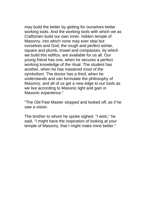may build the better by getting for ourselves better working tools. And the working tools with which we as Craftsmen build our own inner, hidden temple of Masonry, into which none may ever step but ourselves and God; the rough and perfect ashlar, square and plumb, trowel and compasses, by which we build this edifice, are available for us all. Our young friend has one, when he secures a perfect working knowledge of the ritual. The student has another, when he has mastered most of the symbolism. The doctor has a third, when he understands and can formulate the philosophy of Masonry, and all of us get a new edge to our tools as we live according to Masonic light and gain in Masonic experience."

"The Old Past Master stopped and looked off, as if he saw a vision.

The brother to whom he spoke sighed. "I wish," he said, "I might have the inspiration of looking at your temple of Masonry, that I might make mine better."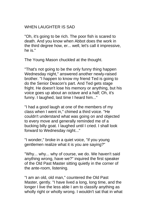# WHEN LAUGHTER IS SAD

"Oh, it's going to be rich. The poor fish is scared to death. And you know when Abbot does the work in the third degree how, er... well, let's call it impressive, he is."

The Young Mason chuckled at the thought.

"That's not going to be the only funny thing happen Wednesday night," answered another newly-raised brother. "I happen to know my friend Ted is going to do the Senior Deacon's part. And Ted gets stage fright. He doesn't lose his memory or anything, but his voice goes up about an octave and a half; Oh, it's funny. I laughed, last time I heard him..."

"I had a good laugh at one of the members of my class when I went in," chimed a third voice. "He couldn't understand what was going on and objected to every move and generally reminded me of a bucking billy goat. I laughed until I cried. I shall look forward to Wednesday night..."

"I wonder," broke in a quiet voice, "if you young gentlemen realize what it is you are saying?"

"Why... why... why of course, we do. We haven't said anything wrong, have we?" inquired the first speaker of the Old Past Master sitting quietly in the corner of the ante-room, listening.

"I am an old, old man," countered the Old Past Master, gently. "I have lived a long, long time, and the longer I live the less able I am to classify anything as wholly right or wholly wrong. I wouldn't sat that in what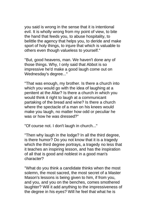you said is wrong in the sense that it is intentional evil. It is wholly wrong from my point of view, to bite the hand that feeds you, to abuse hospitality, to belittle the agency that helps you, to deride and make sport of holy things, to injure that which is valuable to others even though valueless to yourself."

"But, good heavens, man. We haven't done any of those things. Why, I only said that Abbot is so impressive he'd make a good laugh come out on Wednesday's degree..."

"That was enough, my brother. Is there a church into which you would go with the idea of laughing at a penitent at the Altar? Is there a church in which you would think it right to laugh at a communicant partaking of the bread and wine? Is there a church where the spectacle of a man on his knees would make you laugh, no matter how odd or peculiar he was or how he was dressed?"

"Of course not. I don't laugh in church..."

"Then why laugh in the lodge? In all the third degree, is there humor? Do you not know that it is a tragedy which the third degree portrays, a tragedy no less that it teaches an inspiring lesson, and has the inspiration of all that is good and noblest in a good man's character?

"What do you think a candidate thinks when the most solemn, the most sacred, the most secret of a Master Mason's lessons is being given to him, if from you, and you, and you on the benches, comes smothered laughter? Will it add anything to the impressiveness of the degree in his eyes? Will he feel that what he is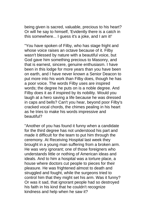being given is sacred, valuable, precious to his heart? Or will he say to himself, 'Evidently there is a catch in this somewhere... I guess it's a joke, and I am it!'

"You have spoken of Filby, who has stage fright and whose voice raises an octave because of it. Filby wasn't blessed by nature with a beautiful voice, but God gave him something precious to Masonry, and that is earnest, sincere, genuine enthusiasm. I have been in this lodge for more years than you have been on earth, and I have never known a Senior Deacon to put more into his work than Filby does, though he has a poor voice. The words Filby uses are inspired words; the degree he puts on is a noble degree. And Filby does it as if inspired by its nobility. Would you laugh at a hero saving a life because he was dressed in caps and bells? Can't you hear, beyond poor Filby's cracked vocal chords, the chimes pealing in his heart as he tries to make his words impressive and beautiful?

"Another of you has found it funny when a candidate for the third degree has not understood his part and made it difficult for the team to put him through the ceremony. At Receiving Hospital last week they brought in a young man suffering from a broken arm. He was very ignorant; one of those foreigners who understands little or nothing of American ideas and ideals. And to him a hospital was a torture place, a house where doctors cut people to pieces for their pleasure. He was frightened almost to death and struggled and fought, while the surgeons tried to control him that they might set his arm. Was it funny? Or was it sad, that ignorant people had so destroyed his faith in his kind that he couldn't recognize kindness and help when he saw it?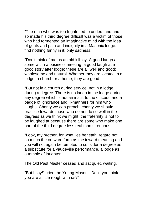"The man who was too frightened to understand and so made his third degree difficult was a victim of those who had tormented an imaginative mind with the idea of goats and pain and indignity in a Masonic lodge. I find nothing funny in it; only sadness.

"Don't think of me as an old kill-joy. A good laugh at some wit in a business meeting, a good laugh at a good story after lodge; these are all well and good; wholesome and natural. Whether they are located in a lodge, a church or a home, they are good.

"But not in a church during service, not in a lodge during a degree. There is no laugh in the lodge during any degree which is not an insult to the officers, and a badge of ignorance and ill-manners for him who laughs. Charity we can preach; charity we should practice towards those who do not do so well in the degrees as we think we might; the fraternity is not to be laughed at because there are some who make one part of the third degree less real than strenuous.

"Look, my brother, for what lies beneath; regard not so much the outward form as the inward meaning and you will not again be tempted to consider a degree as a substitute for a vaudeville performance, a lodge as a temple of laughter."

The Old Past Master ceased and sat quiet, waiting.

"But I say!" cried the Young Mason, "Don't you think you are a little rough with us?"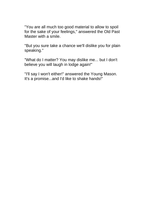"You are all much too good material to allow to spoil for the sake of your feelings," answered the Old Past Master with a smile.

"But you sure take a chance we'll dislike you for plain speaking."

"What do I matter? You may dislike me... but I don't believe you will laugh in lodge again!"

"I'll say I won't either!" answered the Young Mason. It's a promise...and I'd like to shake hands!"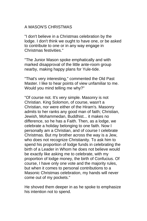# A MASON'S CHRISTMAS

"I don't believe in a Christmas celebration by the lodge. I don't think we ought to have one, or be asked to contribute to one or in any way engage in Christmas festivities."

"The Junior Mason spoke emphatically and with marked disapproval of the little ante-room group nearby, making happy plans for Yule-tide.

"That's very interesting," commented the Old Past Master. I like to hear points of view unfamiliar to me. Would you mind telling me why?"

"Of course not. It's very simple. Masonry is not Christian. King Solomon, of course, wasn't a Christian, nor were either of the Hiram's. Masonry admits to her ranks any good man of faith; Christian, Jewish, Mohammedan, Buddhist... it makes no difference, so he has a Faith. Then, as a lodge, we celebrate a holiday belonging to one faith. Now I personally am a Christian, and of course I celebrate Christmas. But my brother across the way is a Jew, who does not recognize Christianity. To ask him to spend his proportion of lodge funds in celebrating the birth of a Leader in Whom he does not believe would be exactly like asking me to celebrate, with my proportion of lodge money, the birth of Confucius. Of course, I have only one vote and the majority rules, but when it comes to personal contributions to a Masonic Christmas celebration, my hands will never come out of my pockets."

He shoved them deeper in as he spoke to emphasize his intention not to spend.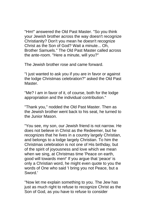"Hm!" answered the Old Past Master. "So you think your Jewish brother across the way doesn't recognize Christianity? Don't you mean he doesn't recognize Christ as the Son of God? Wait a minute... Oh, Brother Samuels." The Old Past Master called across the ante-room. "Here a minute, will you?"

The Jewish brother rose and came forward.

"I just wanted to ask you if you are in favor or against the lodge Christmas celebration?" asked the Old Past Master.

"Me? I am in favor of it, of course, both for the lodge appropriation and the individual contribution."

"Thank you," nodded the Old Past Master. Then as the Jewish brother went back to his seat, he turned to the Junior Mason.

"You see, my son, our Jewish friend is not narrow. He does not believe in Christ as the Redeemer, but he recognizes that he lives in a country largely Christian, and belongs to a lodge largely Christian. To him the Christmas celebration is not one of His birthday, but of the spirit of joyousness and love which we mean when we sing, at Christmas time 'Peace on earth, good will towards men!' If you argue that 'peace' is only a Christian word, he might even quote to you the words of One who said 'I bring you not Peace, but a Sword.'

"Now let me explain something to you. The Jew has just as much right to refuse to recognize Christ as the Son of God, as you have to refuse to consider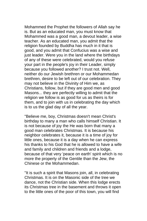Mohammed the Prophet the followers of Allah say he is. But as an educated man, you must know that Mohammed was a good man, a devout leader, a wise teacher. As an educated man, you admit that the religion founded by Buddha has much in it that is good, and you admit that Confucius was a wise and just leader. Were you in the land where the birthdays of any of these were celebrated, would you refuse your part in the people's joy in their Leader, simply because you followed another? I trust not. Well, neither do our Jewish brethren or our Mohammedan brethren, desire to be left out of our celebration. They may not believe in the Divinity of Him we, as Christians, follow, but if they are good men and good Masons... they are perfectly willing to admit that the religion we follow is as good for us as theirs is for them, and to join with us in celebrating the day which is to us the glad day of all the year.

"Believe me, boy, Christmas doesn't mean Christ's birthday to many a man who calls himself Christian. It is not because of joy the He was born that many a good man celebrates Christmas. It is because his neighbor celebrates it, because it is a time of joy for little ones, because it is a day when he can express his thanks to his God that he is allowed to have a wife and family and children and friends and a lodge, because of that very 'peace on earth' spirit which is no more the property of the Gentile than the Jew, the Chinese or the Mohammedan.

"It is such a spirit that Masons join, all, in celebrating Christmas. It is on the Masonic side of the tree we dance, not the Christian side. When this lodge erects its Christmas tree in the basement and throws it open to the little ones of the poor of this town, you will find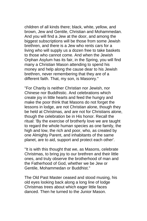children of all kinds there; black, white, yellow, and brown, Jew and Gentile, Christian and Mohammedan. And you will find a Jew at the door, and among the biggest subscriptions will be those from some Jewish brethren, and there is a Jew who rents cars for a living who will supply us a dozen free to take baskets to those who cannot come. And when the Jewish Orphan Asylum has its fair, in the Spring, you will find many a Christian Mason attending to spend his money and help along the cause dear to his Jewish brethren, never remembering that they are of a different faith. That, my son, is Masonry."

"For Charity is neither Christian nor Jewish, nor Chinese nor Buddhistic. And celebrations which create joy in little hearts and feed the hungry and make the poor think that Masons do not forget the lessons in lodge, are not Christian alone, though they be held at Christmas, and are not for Christians alone, though the celebration be in His honor. Recall the ritual: 'By the exercise of brotherly love we are taught to regard the whole human species as one family, the high and low, the rich and poor, who, as created by one Almighty Parent, and inhabitants of the same planet, are to aid, support and protect each other'.

"It is with this thought that we, as Masons, celebrate Christmas, to bring joy to our brethren and their little ones, and truly observe the brotherhood of man and the Fatherhood of God, whether we be Jew or Gentile, Mohammedan or Buddhist."

The Old Past Master ceased and stood musing, his old eyes looking back along a long line of lodge Christmas trees about which eager little faces danced. Then he turned to the Junior Mason.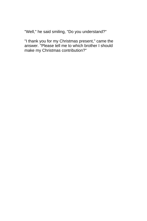"Well," he said smiling, "Do you understand?"

"I thank you for my Christmas present," came the answer. "Please tell me to which brother I should make my Christmas contribution?"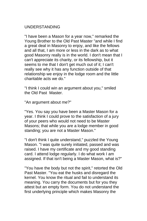# UNDERSTANDING

"I have been a Mason for a year now," remarked the Young Brother to the Old Past Master "and while I find a great deal in Masonry to enjoy, and like the fellows and all that, I am more or less in the dark as to what good Masonry really is in the world. I don't mean that I can't appreciate its charity, or its fellowship, but it seems to me that I don't get much out of it; I can't really see why it has any function outside of that relationship we enjoy in the lodge room and the little charitable acts we do."

"I think I could win an argument about you," smiled the Old Past Master.

"An argument about me?"

"Yes. You say you have been a Master Mason for a year. I think I could prove to the satisfaction of a jury of your peers who would not need to be Master Masons; that while you are a lodge member in good standing; you are not a Master Mason."

"I don't think I quite understand," puzzled the Young Mason. "I was quite surely initiated, passed and was raised. I have my certificate and my good standing card. I attend lodge regularly. I do what work I am assigned. If that isn't being a Master Mason, what is?"

"You have the body but not the spirit," retorted the Old Past Master. "You eat the husks and disregard the kernel. You know the ritual and fail to understand its meaning. You carry the documents but for you they attest but an empty form. You do not understand the first underlying principle which makes Masonry the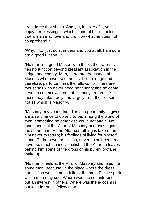great force that she is. And yet, in spite of it, you enjoy her blessings... which is one of her miracles, that a man may love and profit by what he does not comprehend."

"Why....I...I just don't understand you at all. I am sure I am a good Mason..."

"No man is a good Mason who thinks the fraternity has no function beyond pleasant association in the lodge, and charity. Man, there are thousands of Masons who never see the inside of a lodge and therefore, perforce, miss the fellowship. There are thousands who never need her charity and so come never in contact with one of its many features. Yet these may take freely and largely from the treasure house which is Masonry.

"Masonry, my young friend, is an opportunity. It gives a man a chance to do and to be, among the world of men, something he otherwise could not attain. No man kneels at the Altar of Masonry and rises again the same man. At the Altar something is taken from him never to return; his feelings of living for himself alone. Be he never so selfish, never so self-centered, never so much an individualist, at the Altar he leaves behind him some of the dross of his purely profane make-up.

"No man kneels at the Altar of Masonry and rises the same man, because, in the place where the dross and selfish was, is put a little of the most Divine spark which men may see. Where was the self-interest is put an interest in others. Where was the egotism is put love for one's fellow man.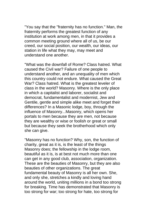"You say that the "fraternity has no function." Man, the fraternity performs the greatest function of any institution at work among men, in that it provides a common meeting ground where all of us, be our creed, our social position, our wealth, our ideas, our station in life what they may, may meet and understand one another.

"What was the downfall of Rome? Class hatred. What caused the Civil war? Failure of one people to understand another, and an unequality of men which this country could not endure. What caused the Great War? Class hatred. What is the greatest leveler of class in the world? Masonry. Where is the only place in which a capitalist and laborer, socialist and democrat, fundamentalist and modernist, Jew and Gentile, gentle and simple alike meet and forget their differences? In a Masonic lodge, boy, through the influence of Masonry...Masonry, which opens her portals to men because they are men, not because they are wealthy or wise or foolish or great or small but because they seek the brotherhood which only she can give.

"Masonry has no function? Why, son, the function of charity, great as it is, is the least of the things Masonry does; the fellowship in the lodge room, beautiful as it is, is at best not much more than one can get in any good club, association, organization. These are the beauties of Masonry, but they are also beauties of other organizations. The great fundamental beauty of Masonry is all her own. She, and only she, stretches a kindly and loving hand around the world, uniting millions in a bond too strong for breaking. Time has demonstrated that Masonry is too strong for war; too strong for hate, too strong for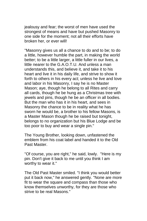jealousy and fear; the worst of men have used the strongest of means and have but pushed Masonry to one side for the moment; not all their efforts have broken her, or ever will!

"Masonry gives us all a chance to do and to be; to do a little, however humble the part, in making the world better; to be a little larger, a little fuller in our lives, a little nearer to the G.A.O.T.U. And unless a man understands this, and believe it, and take it to his heart and live it in his daily life, and strive to show it forth to others in his every act; unless he live and love and labor in his Masonry, I say he is no Master Mason; aye, though he belong to all Rites and carry all cards, though he be hung as a Christmas tree with jewels and pins, though he be an officer in all bodies. But the man who has it in his heart, and sees in Masonry the chance to be in reality what he has sworn he would be, a brother to his fellow Masons, is a Master Mason though he be raised but tonight, belongs to no organization but his Blue Lodge and be too poor to buy and wear a single pin."

The Young Brother, looking down, unfastened the emblem from his coat label and handed it to the Old Past Master.

"Of course, you are right," he said, lowly. "Here is my pin. Don't give it back to me until you think I am worthy to wear it."

The Old Past Master smiled. "I think you would better put it back now," he answered gently. "None are more fit to wear the square and compass than those who know themselves unworthy, for they are those who strive to be real Masons."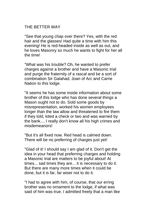# THE BETTER WAY

"See that young chap over there? Yes, with the red hair and the glasses! Had quite a time with him this evening! He is red-headed inside as well as out, and he loves Masonry so much he wants to fight for her all the time!

"What was his trouble? Oh, he wanted to prefer charges against a brother and have a Masonic trial and purge the fraternity of a rascal and be a sort of combination Sir Galahad, Joan of Arc and Carrie Nation to this lodge.

"It seems he has some inside information about some brother of this lodge who has done several things a Mason ought not to do. Sold some goods by misrepresentation, worked his women employees longer than the law allow and threatened to fire them if they told, kited a check or two and was warned by the bank.... I really don't know all his high crimes and misdemeanors!

"But it's all fixed now. Red head is calmed down. There will be no preferring of charges just yet!

"Glad of it! I should say I am glad of it. Don't get the idea in your head that preferring charges and holding a Masonic trial are matters to be joyful about! At times... sad times they are... it is necessary to do it. But there are many more times when it could be done, but it is far, far wiser not to do it.

"I had to agree with him, of course, that our erring brother was no ornament to the lodge, if what was said of him was true. I admitted freely that a man like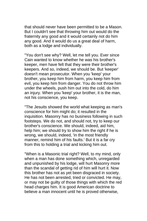that should never have been permitted to be a Mason. But I couldn't see that throwing him out would do the fraternity any good and it would certainly not do him any good. And it would do us a great deal of harm, both as a lodge and individually.

"You don't see why? Well, let me tell you. Ever since Cain wanted to know whether he was his brother's keeper, men have felt that they were their brother's keepers. And so, indeed, we should be. But 'keeper' doesn't mean prosecutor. When you 'keep' your brother, you keep him from harm, you keep him from evil, you keep him from danger. You do not throw him under the wheels, push him out into the cold, do him an injury. When you 'keep' your brother, it is the man, not his conscience, you keep.

"The Jesuits showed the world what keeping as man's conscience for him might do; it resulted in the inquisition. Masonry has no business following in such footsteps. We do not, and should not, try to keep our brother's conscience. We should, indeed, aid him, help him; we should try to show him the right if he is wrong, we should, indeed, 'in the most friendly manner, remind him of his faults.' But it is a far cry from this to holding a trial and kicking him out.

"When is a Masonic trial right? Well, to my mind, only when a man has done something which, unregarded and unpunished by his lodge, will hurt Masonry more than the scandal of getting rid of him will hurt it. Now this brother has not as yet been disgraced in society. He has not been arrested, tried or convicted. He may, or may not be guilty of those things with which the red head charges him. It is good American doctrine to believe a man innocent until he is proved otherwise,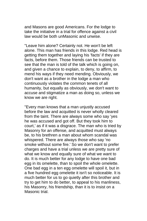and Masons are good Americans. For the lodge to take the initiative in a trial for offence against a civil law would be both unMasonic and unwise.

"Leave him alone? Certainly not. He won't be left alone. This man has friends in this lodge. Red head is getting them together and laying his 'facts' if they are facts, before them. Those friends can be trusted to see that the man is told of the talk which is going on, and given a chance to explain, to deny, to affirm, to mend his ways if they need mending. Obviously, we don't want as a brother in the lodge a man who continuously violates the common tenets of all humanity, but equally as obviously, we don't want to accuse and stigmatize a man as doing so, unless we know we are right.

"Every man knows that a man unjustly accused before the law and acquitted is never wholly cleared from the taint. There are always some who say 'yes he was accused and got off. But they took him to court,' as if it was a disgrace. The man who is tried by Masonry for an offense, and acquitted must always be, to his brethren a man about whom scandal was whispered. There are always those who say 'no smoke without some fire.' So we don't want to prefer charges and have a trial unless we are pretty sure of what we know and equally sure of what we want to do. It is much better for any lodge to have one bad egg in its omelette, than to spoil the whole omelette. One bad egg in a ten egg omelette will spoil it, but in a five hundred egg omelette it isn't so noticeable. It is much better for us to go quietly after this brother and try to get him to do better, to appeal to his manliness, his Masonry, his friendship, than it is to insist on a Masonic trial.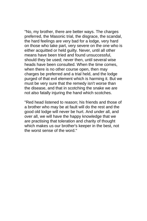"No, my brother, there are better ways. The charges preferred, the Masonic trial, the disgrace, the scandal, the hard feelings are very bad for a lodge, very hard on those who take part, very severe on the one who is either acquitted or held guilty. Never, until all other means have been tried and found unsuccessful, should they be used; never then, until several wise heads have been consulted. When the time comes, when there is no other course open, then may charges be preferred and a trial held, and the lodge purged of that evil element which is harming it. But we must be very sure that the remedy isn't worse than the disease, and that in scotching the snake we are not also fatally injuring the hand which scotches.

"Red head listened to reason; his friends and those of a brother who may be at fault will do the rest and the good old lodge will never be hurt. And under all, and over all, we will have the happy knowledge that we are practising that toleration and charity of thought which makes us our brother's keeper in the best, not the worst sense of the word."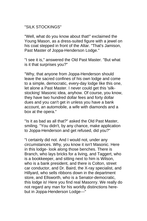#### "SILK STOCKINGS"

"Well, what do you know about that!" exclaimed the Young Mason, as a dress-suited figure with a jewel on his coat stepped in front of the Altar. "That's Jamison, Past Master of Joppa-Henderson Lodge."

"I see it is," answered the Old Past Master. "But what is it that surprises you?"

"Why, that anyone from Joppa-Henderson should leave the sacred confines of his own lodge and come to a simple, democratic, every-day lodge like this one, let alone a Past Master. I never could get this 'silkstocking' Masonic idea, anyhow. Of course, you know, they have two hundred dollar fees and forty dollar dues and you can't get in unless you have a bank account, an automobile, a wife with diamonds and a box at the opera."

"Is it as bad as all that?" asked the Old Past Master, smiling. "You didn't, by any chance, make application to Joppa-Henderson and get refused, did you?"

"I certainly did not. And I would not, under any circumstances. Why, you know it isn't Masonic. Here in this lodge- look along those benches. There is Branch, who lays bricks for a living, and Taggert, who is a bookkeeper, and sitting next to him is Wilson, who is a bank president, and there is Colton, street car conductor, and Dr. Baird, the X-ray specialist, and Hillyard, who sells ribbons down in the department store, and Ellsworth, who is a Senator-democratic, this lodge is! Here you find real Masonry. We really do not regard any man for his worldly distinctions herebut in Joppa-Henderson Lodge---"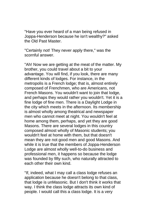"Have you ever heard of a man being refused in Joppa-Henderson because he isn't wealthy?" asked the Old Past Master.

"Certainly not! They never apply there," was the scornful answer.

"Ah! Now we are getting at the meat of the matter. My brother, you could travel about a bit to your advantage. You will find, if you look, there are many different kinds of lodges. For instance, in the metropolis is a French lodge; that is, almost entirely composed of Frenchmen, who are Americans, not French Masons. You wouldn't want to join that lodge, and perhaps they would rather you wouldn't. Yet it is a fine lodge of fine men. There is a Daylight Lodge in the city which meets in the afternoon. Its membership is almost wholly among theatrical and newspaper men who cannot meet at night. You wouldn't feel at home among them, perhaps, and yet they are good Masons. There are several lodges in this country composed almost wholly of Masonic students; you wouldn't feel at home with them, but that doesn't mean they are not good men and good Masons. And while it is true that the members of Joppa-Henderson Lodge are almost wholly well-to-do business and professional men, it happens so because the lodge was founded by fifty such, who naturally attracted to each other their own kind.

"If, indeed, what I may call a class lodge refuses an application because he doesn't belong to that class, that lodge is unMasonic. But I don't think it works that way. I think the class lodge attracts its own kind of people. I would call this a class lodge. It is a very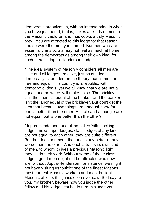democratic organization, with an intense pride in what you have just noted; that is, mixes all kinds of men in the Masonic cauldron and thus cooks a truly Masonic brew. You are attracted to this lodge for that reason, and so were the men you named. But men who are essentially aristocrats may not feel as much at home among the democrats as among their own kind; for such there is Joppa-Henderson Lodge.

"The ideal system of Masonry considers all men are alike and all lodges are alike, just as an ideal democracy is founded on the theory that all men are free and equal. This country is a republic, with democratic ideals, yet we all know that we are not all equal, and no words will make us so. The bricklayer isn't the financial equal of the banker, and the banker isn't the labor equal of the bricklayer. But don't get the idea that because two things are unequal, therefore one is better than the other. A circle and a triangle are not equal, but is one better than the other?

"Joppa-Henderson, and all so-called 'silk-stocking' lodges, newspaper lodges, class lodges of any kind, are not equal to each other; they are quite different. But that does not mean that one is any better or any worse than the other. And each attracts its own kind of men, to whom it gives a precious Masonic light, they all do their work. Without some of these class lodges, good men might not be attracted who now are; without Joppa-Henderson, for instance, we might not have visiting us tonight one of the finest Masons, most earnest Masonic workers and most brilliant Masonic officers this jurisdiction ever saw. So I say to you, my brother, beware how you judge the other fellow and his lodge, lest he, in turn misjudge you.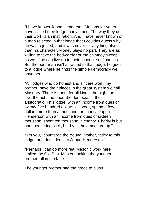"I have known Joppa-Henderson Masons for years. I have visited their lodge many times. The way they do their work is an inspiration. And I have never known of a man rejected in that lodge that I couldn't guess why he was rejected; and it was never for anything else than his character. Money plays no part. They are as willing to take the hod-carrier or the chimney sweep as we, if he can live up to their schedule of finances. But the poor man isn't attracted to that lodge; he goes to a lodge where he finds the simple democracy we have here.

"All lodges who do honest and sincere work, my brother, have their places in the great system we call Masonry. There is room for all kinds; the high, the low, the rich, the poor, the democratic, the aristocratic. This lodge, with an income from dues of twenty-five hundred dollars last year, spend a few dollars more than a thousand for charity. Joppa-Henderson with an income from dues of sixteen thousand, spent ten thousand in charity. Charity is but one measuring stick, but by it, they measure up."

"Yet you," countered the Young Brother, "stick to this lodge, and don't demit to Joppa-Henderson."

"Perhaps I can do more real Masonic work here," smiled the Old Past Master, looking the younger brother full in the face.

The younger brother had the grace to blush.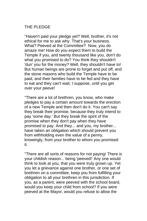# THE PLEDGE

"Haven't paid your pledge yet? Well, brother, it's not ethical for me to ask why. That's your business. What? Peeved at the Committee? Now, you do amaze me! How do you expect them to build the Temple if you, and twenty thousand like you, don't do what you promised to do? You think they shouldn't 'dun' you for the money? Well, they shouldn't have to! But human beings are prone to forget and put off, and the stone masons who build the Temple have to be paid, and their families have to be fed and they have to eat and they can't wait, I suppose, until you get over your peeve!

"There are a lot of brethren, you know, who make pledges to pay a certain amount towards the erection of a new Temple and then don't do it. You can't say they break their promise, because they truly intend to pay 'some day.' But they break the spirit of the promise when they don't pay when they have promised to pay. And they... and you, my brother... have taken an obligation which should prevent you from withholding even the value of a penny, knowingly, from your brother to whom you promised it.

"There are all sorts of reasons for not paying! There is your childish reason... being 'peeved!' Any one would think to look at you, that you were truly grown up. Yet you let a grievance against one brother, or one set of brethren on a committee, keep you from fulfilling your obligation to all your brethren in this jurisdiction. If you, as a parent, were peeved with the school board, would you keep your child from school? If you were peeved at the Mayor, would you refuse to allow the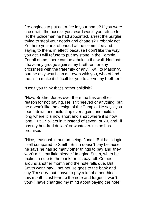fire engines to put out a fire in your home? If you were cross with the boss of your ward would you refuse to let the policeman he had appointed, arrest the burglar trying to steal your goods and chattels? Probably not! Yet here you are, offended at the committee and saying to them, in effect 'because I don't like the way you act, I will refuse to put my stone in the Temple. For all of me, there can be a hole in the wall. Not that I have any grudge against my brethren, or any crossness with the fraternity or any ill-will to Masonry, but the only way I can get even with you, who offend me, is to make it difficult for you to serve my brethren!'

"Don't you think that's rather childish?

"Now, Brother Jones over there, he has another reason for not paying. He isn't peeved or anything, but he doesn't like the design of the Temple! He says 'you tear it down and build it up over again, and build it long where it is now short and short where it is now long. Put 17 pillars in it instead of seven, or 70, and I'll pay my hundred dollars' or whatever it is he has promised.

"Nice, reasonable human being, Jones! But he is logic itself compared to Smith! Smith doesn't pay because he says he has so many other things to pay and 'they won't miss my little pledge.' Imagine Smith, when he makes a note to the bank for his pay roll. Comes around another month and the note falls due. But Smith won't pay... not he! He goes to the bank and say 'I'm sorry, but I have to pay a lot of other things this month. Just tear up the note and forget it, won't you? I have changed my mind about paying the note!'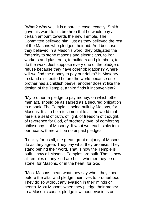"What? Why yes, it is a parallel case, exactly. Smith gave his word to his brethren that he would pay a certain amount towards the new Temple. The Committee believed him, just as they believed the rest of the Masons who pledged their aid. And because they believed in a Mason's word, they obligated the fraternity to stone masons and electricians, to iron workers and plasterers, to builders and plumbers, to do the work. Just suppose every one of the pledgers refuse because they have other obligations? Where will we find the money to pay our debts? Is Masonry to stand discredited before the world because one brother has a childish peeve, another doesn't like the design of the Temple, a third finds it inconvenient?

"My brother, a pledge to pay money, on which other men act, should be as sacred as a secured obligation to a bank. The Temple is being built by Masons, for Masons. It is to be a testimonial to all the world that here is a seat of truth, of light, of freedom of thought, of reverence for God, of brotherly love, of comforting philosophy... of Masonry. If what we teach sinks into our hearts, there will be no unpaid pledges.

"Luckily for us all, the great, great majority of Masons do as they agree. They pay what they promise. They stand behind their word. That is how the Temple is built... how all Masonic Temples are built. That is how all temples of any kind are built, whether they be of stone, for Masons, or in the heart, for God.

"Most Masons mean what they say when they kneel before the altar and pledge their lives to brotherhood. They do so without any evasion in their minds or hearts. Most Masons when they pledge their money to a Masonic cause, pledge it without evasions on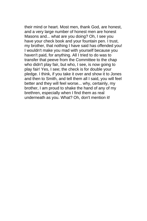their mind or heart. Most men, thank God, are honest, and a very large number of honest men are honest Masons and... what are you doing? Oh, I see you have your check book and your fountain pen. I trust, my brother, that nothing I have said has offended you! I wouldn't make you mad with yourself because you haven't paid, for anything. All I tried to do was to transfer that peeve from the Committee to the chap who didn't play fair, but who, I see, is now going to play fair! Yes, I see; the check is for double your pledge. I think, if you take it over and show it to Jones and then to Smith, and tell them all I said, you will feel better and they will feel worse... why, certainly, my brother, I am proud to shake the hand of any of my brethren, especially when I find them as real underneath as you. What? Oh, don't mention it!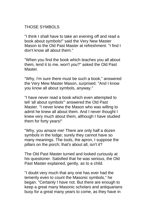### THOSE SYMBOLS

"I think I shall have to take an evening off and read a book about symbols!" said the Very New Master Mason to the Old Past Master at refreshment. "I find I don't know all about them."

"When you find the book which teaches you all about them, lend it to me, won't you?" asked the Old Past Master.

"Why, I'm sure there must be such a book," answered the Very Mew Master Mason, surprised. "And I know you know all about symbols, anyway."

"I have never read a book which even attempted to tell 'all about symbols'" answered the Old Past Master. "I never knew the Mason who was willing to admit he knew all about them. And I never thought I knew very much about them, although I have studied them for forty years!"

"Why, you amaze me! There are only half a dozen symbols in the lodge; surely they cannot have so many meanings. The tools, the apron, I suppose the pillars on the porch; that's about all, isn't it?

The Old Past Master turned and looked curiously at his questioner. Satisfied that he was serious, the Old Past Master explained, gently, as to a child.

"I doubt very much that any one has ever had the temerity even to count the Masonic symbols," he began. "Certainly I have not. But there are enough to keep a great many Masonic scholars and antiquarians busy for a great many years to come, as they have in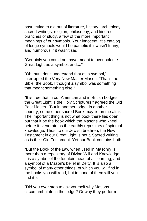past, trying to dig out of literature, history, archeology, sacred writings, religion, philosophy, and kindred branches of study, a few of the more important meanings of our symbols. Your innocent little catalog of lodge symbols would be pathetic if it wasn't funny, and humorous if it wasn't sad!

"Certainly you could not have meant to overlook the Great Light as a symbol, and...."

"Oh, but I don't understand that as a symbol," interrupted the Very New Master Mason. "That's the Bible, the Book. I thought a symbol was something that meant something else!"

"It is true that in our American and in British Lodges the Great Light is the Holy Scriptures," agreed the Old Past Master. "But in another lodge, in another country, some other sacred Book may lie on the altar. The important thing is not what book there lies open, but that it be the book which the Masons who kneel before it, venerate as the earthly repository of spiritual knowledge. Thus, to our Jewish brethren, the New Testament in our Great Light is not a Sacred writing as is their Old Testament. Yet our Book contains both.

"But the Book of the Law when used in Masonry is more than a repository of Divine Will and Knowledge. It is a symbol of the fountain head of all learning, and a symbol of a Mason's belief in Deity. It is also a symbol of many other things, of which you will find in the books you will read, but in none of them will you find it all.

"Did you ever stop to ask yourself why Masons circumambulate in the lodge? Or why they perform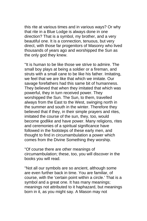this rite at various times and in various ways? Or why that rite in a Blue Lodge is always done in one direction? That is a symbol, my brother, and a very beautiful one. It is a connection, tenuous, but very direct, with those far progenitors of Masonry who lived thousands of years ago and worshipped the Sun as the only god they knew.

"It is human to be like those we strive to admire. The small boy plays at being a soldier or a fireman, and struts with a small cane to be like his father. Imitating, we feel that we are like that which we imitate. Our savage forefathers had this same bit of humanness. They believed that when they imitated that which was powerful, they in turn received power. They worshipped the Sun. The Sun, to them, travelled always from the East to the West, swinging north in the summer and south in the winter. Therefore they believed that if they, in their simple prayers and rites, imitated the course of the sun, they, too, would become godlike and have power. Many religions, rites and ceremonies of a spiritual significance have followed in the footsteps of these early men, and thought to find in circumambulation a power which comes from the Divine Something they worship.

"Of course there are other meanings of circumambulation; these, too, you will discover in the books you will read.

"Not all our symbols are so ancient, although some are even further back in time. You are familiar, of course, with the 'certain point within a circle.' That is a symbol and a great one. It has many meanings; meanings not attributed to it haphazard, but meanings born in it, as you might say. A Mason may not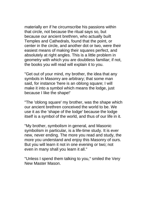materially err if he circumscribe his passions within that circle, not because the ritual says so, but because our ancient brethren, who actually built Temples and Cathedrals, found that the point, or center in the circle, and another dot or two, were their easiest means of making their squares perfect, and absolutely at right angles. This is a little problem in geometry with which you are doubtless familiar; if not, the books you will read will explain it to you.

"Get out of your mind, my brother, the idea that any symbols in Masonry are arbitrary; that some man said, for instance 'here is an oblong square; I will make it into a symbol which means the lodge, just because I like the shape!'

"The 'oblong square' my brother, was the shape which our ancient brethren conceived the world to be. We use it as the 'shape of the lodge' because the lodge itself is a symbol of the world, and thus of our life in it.

"My brother, symbolism in general, and Masonic symbolism in particular, is a life-time study. It is ever new, never ending. The more you read and study, the more you understand and enjoy this Masonry of ours. But you will learn it not in one evening or two; not even in many shall you learn it all."

"Unless I spend them talking to you," smiled the Very New Master Mason.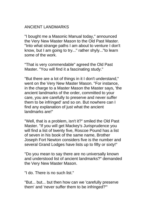## ANCIENT LANDMARKS

"I bought me a Masonic Manual today," announced the Very New Master Mason to the Old Past Master. "Into what strange paths I am about to venture I don't know, but I am going to try..." rather shyly..."to learn some of the work.

"That is very commendable" agreed the Old Past Master. "You will find it a fascinating study."

"But there are a lot of things in it I don't understand," went on the Very New Master Mason. "For instance, in the charge to a Master Mason the Master says, 'the ancient landmarks of the order, committed to your care, you are carefully to preserve and never suffer them to be infringed' and so on. But nowhere can I find any explanation of just what the ancient landmarks are!"

"Well, that is a problem, isn't it?" smiled the Old Past Master. "If you will get Mackey's Jurisprudence you will find a list of twenty five, Roscoe Pound has a list of seven in his book of the same name, Brother Joseph Fort Newton considers five is the number and several Grand Lodges have lists up to fifty or sixty!"

"Do you mean to say there are no universally known and understood list of ancient landmarks?" demanded the Very New Master Mason.

"I do. There is no such list."

"But... but... but then how can we 'carefully preserve them' and 'never suffer them to be infringed?'"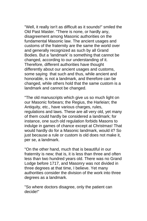"Well, it really isn't as difficult as it sounds!" smiled the Old Past Master. "There is none, or hardly any, disagreement among Masonic authorities on the fundamental Masonic law. The ancient usages and customs of the fraternity are the same the world over and generally recognized as such by all Grand Bodies. But a 'landmark' is something that cannot be changed, according to our understanding of it. Therefore, different authorities have thought differently about our ancient usages and customs, some saying that such and thus, while ancient and honorable, is not a landmark, and therefore can be changed, while others hold that the same custom is a landmark and cannot be changed.

"The old manuscripts which give us so much light on our Masonic forbears; the Regius, the Harleian; the Antiquity, etc., have various charges, rules, regulations and laws. These are all very old, yet many of them could hardly be considered a landmark; for instance, one such old regulation forbids Masons to indulge in games of chance except at Christmas! That would hardly do for a Masonic landmark, would it? So just because a rule or custom is old does not make it, per se, a landmark.

"On the other hand, much that is beautiful in our fraternity is new; that is, it is less than three and often less than two hundred years old. There was no Grand Lodge before 1717, and Masonry was not divided in three degrees at that time, I believe. Yet many authorities consider the division of the work into three degrees as a landmark.

"So where doctors disagree, only the patient can decide!"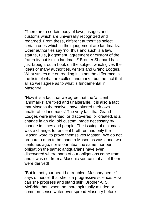"There are a certain body of laws, usages and customs which are universally recognized and regarded. From these, different authorities select certain ones which in their judgement are landmarks. Other authorities say 'no, thus and such is a law, statute, rule, judgement, agreement or custom of the fraternity but isn't a landmark!' Brother Shepard has just brought out a book on the subject which gives the ideas of many authorities, writers and Grand Lodges. What strikes me on reading it, is not the difference in the lists of what are called landmarks, but the fact that all so well agree as to what is fundamental in Masonry!

"Now it is a fact that we agree that the 'ancient landmarks' are fixed and unalterable. It is also a fact that Masons themselves have altered their own unalterable landmarks! The very fact that Grand Lodges were invented, or discovered, or created, is a change in an old, old custom, made necessary by change in times and people. The issuing of diplomas was a change; for ancient brethren had only the 'Mason word' to prove themselves Master. We do not prepare a man to be made a Mason as was done two centuries ago, nor is our ritual the same, nor our obligation the same; antiquarians have even discovered where parts of our obligations came from, and it was not from a Masonic source that all of them were derived!

"But let not your heart be troubled! Masonry herself says of herself that she is a progressive science. How can she progress and stand still? Brother A. S. McBride than whom no more spiritually minded or common-sense writer ever spread Masonry before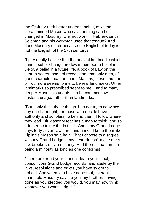the Craft for their better understanding, asks the literal-minded Mason who says nothing can be changed in Masonry, why not work in Hebrew, since Solomon and his workman used that tongue? And does Masonry suffer because the English of today is not the English of the 17th century?

"I personally believe that the ancient landmarks which cannot suffer change are few in number; a belief in Deity, a belief in a future life, a book of Law on the altar, a secret mode of recognition, that only men, of good character, can be made Masons; these and one or two more seems to me to be real landmarks. Other landmarks so prescribed seem to me... and to many deeper Masonic students... to be common law, custom, usage, rather than landmarks.

"But I only think these things. I do not try to convince any one I am right, for those who decide have authority and scholarship behind them. I follow where they lead. Bit Masonry teaches a man to think, and so I do her no injury if I do think. And if my Grand Lodge says forty-seven laws are landmarks, I keep them like Kipling's Mason 'to a hair.' That I choose to disagree with my Grand Lodge in my heart doesn't make me a law-breaker; only a minority. And there is no harm in being a minority as long as one conforms!

"Therefore, read your manual, learn your ritual, consult your Grand Lodge records, and abide by the laws, resolutions and edicts you have sworn to uphold. And when you have done that, tolerant charitable Masonry says to you 'my brother, having done as you pledged you would, you may now think whatever you want is right!'"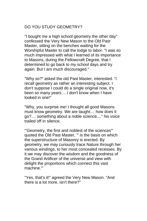## DO YOU STUDY GEOMETRY?

"I bought me a high school geometry the other day" confessed the Very New Mason to the Old Past Master, sitting on the benches waiting for the Worshipful Master to call the lodge to labor. "I was so much impressed with what I learned of its importance to Masons, during the Fellowcraft Degree, that I determined to go back to my school days and try again. But I am much discouraged."

"Why so?" asked the old Past Master, interested. "I recall geometry as rather an interesting subject. I don't suppose I could do a single original now, it's been so many years.... I don't know when I have looked in one!"

"Why, you surprise me! I thought all good Masons must know geometry. We are taught.... how does it go?.... something about a noble science...." his voice trailed off in silence.

"'Geometry, the first and noblest of the sciences'" quoted the Old Past Master, "' is the basis on which the superstructure of Masonry is erected. By geometry, we may curiously trace Nature through her various windings, to her most concealed recesses. By it we may discover the wisdom and the goodness of the Grand Artificer of the universe and view with delight the proportions which connect this vast machine.'"

"Yes, that's it!" agreed the Very New Mason. "And there is a lot more, isn't there?"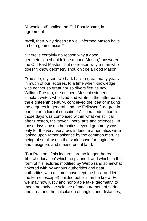"A whole lot!" smiled the Old Past Master, in agreement.

"Well, then, why doesn't a well informed Mason have to be a geometrician?"

"There is certainly no reason why a good geometrician shouldn't be a good Mason," answered the Old Past Master, "but no reason why a man who doesn't know geometry shouldn't be a good Mason.

"You see, my son, we hark back a great many years in much of our lectures, to a time when knowledge was neither so great nor so diversified as now. William Preston, the eminent Masonic student, scholar, writer, who lived and wrote in the latter part of the eighteenth century, conceived the idea of making the degrees in general, and the Fellowcraft degree in particular, a liberal education! A 'liberal education' in those days was comprised within what we still call, after Preston, the 'seven liberal arts and sciences.' In those days any mathematics beyond geometry was only for the very, very few; indeed, mathematics were looked upon rather askance by the common men, as being of small use in the world, save for engineers and designers and measurers of land.

"But Preston, if his lectures are no longer the real 'liberal education' which he planned, and which, in the form of his lectures modified by Webb (and somewhat tinkered with by various authorities and near authorities who at times have kept the husk and let the kernel escape!) builded better than he knew. For we may now justly and honorable take 'geometry' to mean not only the science of measurement of surface and area and the calculation of angles and distances,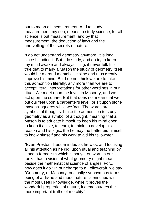but to mean all measurement. And to study measurement, my son, means to study science, for all science is but measurement, and by that measurement, the deduction of laws and the unravelling of the secrets of nature.

"I do not understand geometry anymore; it is long since I studied it. But I do study, and do try to keep my mind awake and always filling, if never full. It is true that to many a Mason the study of geometry itself would be a grand mental discipline and thus greatly improve his mind. But I do not think we are to take this admonition literally, any more than we are to accept literal interpretations for other wordings in our ritual. We meet upon the level, in Masonry, and we act upon the square. But that does not mean that we put our feet upon a carpenter's level, or sit upon stone masons' squares while we 'act.' The words are symbols of thoughts. I take the admonition to study geometry as a symbol of a thought, meaning that a Mason is to educate himself, to keep his mind open, to keep it active, to learn, to think, to develop his reason and his logic, the he may the better aid himself to know himself and his work to aid his fellowmen.

"Even Preston, literal-minded as he was, and focusing all his attention as he did, upon ritual and teaching by it and a formalism which is not yet outworn in our ranks, had a vision of what geometry might mean beside the mathematical science of angles. For.... how does it go? In our charge to a Fellowcraft, we say "Geometry, or Masonry, originally synonymous terms, being of a divine and moral nature, is enriched with the most useful knowledge, while it proves the wonderful properties of nature, it demonstrates the more important truths of morality.'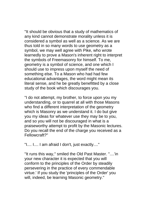"It should be obvious that a study of mathematics of any kind cannot demonstrate morality unless it is considered a symbol as well as a science. As we are thus told in so many words to use geometry as a symbol, we may well agree with Pike, who wrote learnedly to prove a Mason's inherent right to interpret the symbols of Freemasonry for himself. To me, geometry is a symbol of science, and one which I should use to impress upon myself the need of something else. To a Mason who had had few educational advantages, the word might mean its literal sense, and he be greatly benefitted by a close study of the book which discourages you.

"I do not attempt, my brother, to force upon you my understanding, or to quarrel at all with those Masons who find a different interpretation of the geometry which is Masonry as we understand it. I do but give you my ideas for whatever use they may be to you, and so you will not be discouraged in what is a praiseworthy attempt to profit by the Masonic lectures. Do you recall the end of the charge you received as a Fellowcraft?"

"I.... I.... I am afraid I don't, just exactly...."

"It runs this way," smiled the Old Past Master. "....'in your new character it is expected that you will conform to the principles of the Order by steadily persevering in the practice of every commendable virtue.' If you study the 'principles of the Order' you will, indeed, be learning Masonic geometry."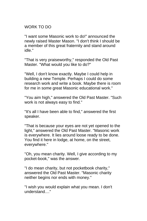WORK TO DO

"I want some Masonic work to do!" announced the newly raised Master Mason. "I don't think I should be a member of this great fraternity and stand around idle."

"That is very praiseworthy," responded the Old Past Master. "What would you like to do?"

"Well, I don't know exactly. Maybe I could help in building a new Temple. Perhaps I could do some research work and write a book. Maybe there is room for me in some great Masonic educational work."

"You aim high," answered the Old Past Master. "Such work is not always easy to find."

"It's all I have been able to find," answered the first speaker.

"That is because your eyes are not yet opened to the light," answered the Old Past Master. "Masonic work is everywhere. It lies around loose ready to be done. You find it here in lodge, at home, on the street, everywhere."

"Oh, you mean charity. Well, I give according to my pocket-book," was the answer.

"I do mean charity, but not pocketbook charity," answered the Old Past Master. "Masonic charity neither begins nor ends with money."

"I wish you would explain what you mean. I don't understand...."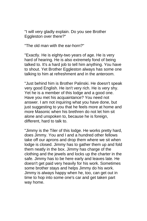"I will very gladly explain. Do you see Brother Eggleston over there?"

"The old man with the ear-horn?"

"Exactly. He is eighty-two years of age. He is very hard of hearing. He is also extremely fond of being talked to. It's a hard job to tell him anything. You have to shout. Yet Brother Eggleston always has some one talking to him at refreshment and in the anteroom.

"Just behind him is Brother Palinski. He doesn't speak very good English. He isn't very rich. He is very shy. Yet he is a member of this lodge and a good one. Have you met his acquaintance? You need not answer. I am not inquiring what you have done, but just suggesting to you that he feels more at home and more Masonic when his brethren do not let him sit alone and unspoken to, because he is foreign, different, hard to talk to.

"Jimmy is the Tiler of this lodge. He works pretty hard, does Jimmy. You and I and a hundred other fellows take off our aprons and drop them where we sit when lodge is closed. Jimmy has to gather them up and fold them neatly in the box. Jimmy has charge of the clothing and the jewels and locks up the charter in the safe. Jimmy has to be here early and leaves late. He doesn't get paid very heavily for his work. Sometimes some brother stays and helps Jimmy do his work. Jimmy is always happy when he, too, can get out in time to hop into some one's car and get taken part way home.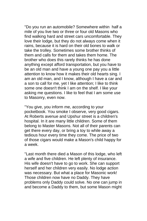"Do you run an automobile? Somewhere within half a mile of you live two or three or four old Masons who find walking hard and street cars uncomfortable. They love their lodge, but they do not always come when it rains, because it is hard on their old bones to walk or take the trolley. Sometimes some brother thinks of them and calls for them and takes them home. The brother who does this rarely thinks he has done anything except afford transportation, but you have to be an old man and have a young one pay you a little attention to know how it makes their old hearts sing. I am an old man, and I know, although I have a car and a son to call for me, yet I like attention; I like to think some one doesn't think I am on the shelf. I like your asking me questions. I like to feel that I am some use to Masonry, even now.

"You give, you inform me, according to your pocketbook. You smoke I observe, very good cigars. At Roberts avenue and Upshur street is a children's hospital. In it are many little children. Some of them belong to Master Masons. Not all of their parents can get there every day, or bring a toy to while away a tedious hour every time they come. The price of two of those cigars would make a Mason's child happy for a week.

"Last month there died a Mason of this lodge, who left a wife and five children. He left plenty of insurance. His wife doesn't have to go to work. She can support herself and her children very easily. No lodge action was necessary. But what a place for Masonic work! Those children now have no Daddy. They have problems only Daddy could solve. No one can jump in and become a Daddy to them, but some Mason might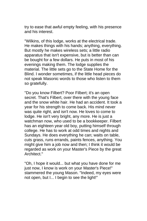try to ease that awful empty feeling, with his presence and his interest.

"Wilkins, of this lodge, works at the electrical trade. He makes things with his hands; anything, everything. But mostly he makes wireless sets; a little radio apparatus that isn't expensive, but is better than can be bought for a few dollars. He puts in most of his evenings making them. The lodge supplies the material. The little sets go to the State Home for the Blind. I wonder sometimes, if the little head pieces do not speak Masonic words to those who listen to them so gratefully.

"Do you know Filbert? Poor Filbert; it's an open secret. That's Filbert, over there with the young face and the snow white hair. He had an accident. It took a year for his strength to come back. His mind never was quite right, and isn't now. He loves to come to lodge. He isn't very bright, any more. He is just a watchman now, who used to be a bookkeeper. Filbert has an eighteen year old boy, putting himself through college. He has to work at odd times and nights and Sundays. He does everything he can; waits on table, cuts grass, runs errands, paints fences, anything. You might give him a job now and then; I think it would be regarded as work on your Master's Piece by the great Architect."

"Oh, I hope it would... but what you have done for me just now, I know is work on your Master's Piece!" stammered the young Mason. "Indeed, my eyes were not open, but I... I begin to see the light!"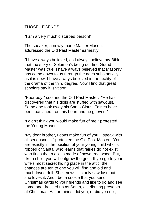## THOSE LEGENDS

"I am a very much disturbed person!"

The speaker, a newly made Master Mason, addressed the Old Past Master earnestly.

"I have always believed, as I always believe my Bible, that the story of Solomon's being our first Grand Master was true. I have always believed that Masonry has come down to us through the ages substantially as it is now. I have always believed in the reality of the drama of the third degree. Now I find that great scholars say it isn't so!"

"Poor boy!" soothed the Old Past Master. "He has discovered that his dolls are stuffed with sawdust. Some one took away his Santa Claus! Fairies have been banished from his heart and he grieves!"

"I didn't think you would make fun of me!" protested the Young Mason.

"My dear brother, I don't make fun of you! I speak with all seriousness!" protested the Old Past Master. "You are exactly in the position of your young child who is robbed of Santa, who learns that fairies do not exist, who finds that a doll is made of powdered wood. But, like a child, you will outgrow the grief. If you go to your wife's most secret hiding place in the attic, the chances are ten to one you will find and old and much-loved doll. She knows it is only sawdust, but she loves it. And I bet a cookie that you send Christmas cards to your friends and like to go and see some one dressed up as Santa, distributing presents at Christmas. As for fairies, did you, or did you not,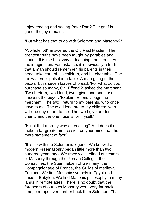enjoy reading and seeing Peter Pan? The grief is gone; the joy remains!"

"But what has that to do with Solomon and Masonry?"

"A whole lot!" answered the Old Past Master. "The greatest truths have been taught by parables and stories. It is the best way of teaching, for it touches the imagination. For instance, it is obviously a truth that a man should remember his parents in their need, take care of his children, and be charitable. The far Easterner puts it in a fable. A man going to the bazaar buys seven loaves of bread. 'For what do you purchase so many, Oh, Effendi?' asked the merchant. 'Two I return, two I lend, two I give, and one I use,' answers the buyer. 'Explain, Effendi', begs the merchant. 'The two I return to my parents, who once gave to me. The two I lend are to my children, who will one day return to me. The two I give are for charity and the one I use is for myself.'

"Is not that a pretty way of teaching? And does it not make a far greater impression on your mind that the mere statement of fact?

"It is so with the Solomonic legend. We know that modern Freemasonry began little more than two hundred years ago. We trace well defined ancestors of Masonry through the Roman Collegia, the Comacines, the Steinmetzen of Germany, the Compagnionage of France, the Guilds of medieval England. We find Masonic symbols in Egypt and ancient Babylon. We find Masonic philosophy in many lands in remote ages. There is no doubt that the forebears of our own Masonry were very far back in time, perhaps even further back than Solomon. That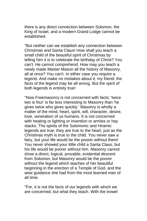there is any direct connection between Solomon, the King of Israel, and a modern Grand Lodge cannot be established.

"But neither can we establish any connection between Christmas and Santa Claus! How shall you teach a small child of the beautiful spirit of Christmas by telling him it is to celebrate the birthday of Christ? You can't. He cannot comprehend. How may you teach a newly made Master Mason all the history of Masonry, all at once? You can't. In either case you require a legend. And make no mistakes about it, my friend; the facts of the legend may be all wrong. But the spirit of both legends is entirely true!

"Now Freemasonry is not concerned with facts; 'twice two is four' is far less interesting to Masonry than 'he gives twice who gives quickly.' Masonry is wholly a matter of the mind, heart, spirit, will, character, desire, love, veneration of us humans. It is not concerned with heating or lighting or invention or armies or hay stacks. The spirits of the Solomonic and Hiramic legends are true; they are true to the heart, just as the Christmas myth is true to the child. You never saw a fairy, but your life would be the poorer without them! You never showed your little child a Santa Claus, but his life would be poorer without him. Masonry cannot show a direct, logical, provable, evidential descent from Solomon, but Masonry would be the poorer without the legend which teaches of her beautiful beginning in the erection of a Temple of God, and the wise guidance she had from the most learned man of all time.

"For, it is not the facts of our legends with which we are concerned, but what they teach. With the trowel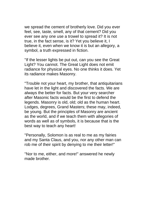we spread the cement of brotherly love. Did you ever feel, see, taste, smell, any of that cement? Did you ever see any one use a trowel to spread it? It is not true, in the fact sense, is it? Yet you believe it, I believe it, even when we know it is but an allegory, a symbol, a truth expressed in fiction.

"If the lesser lights be put out, can you see the Great Light? You cannot. The Great Light does not emit radiance for physical eyes. No one thinks it does. Yet its radiance makes Masonry.

"Trouble not your heart, my brother, that antiquitarians have let in the light and discovered the facts. We are always the better for facts. But your very searcher after Masonic facts would be the first to defend the legends. Masonry is old, old; old as the human heart. Lodges, degrees, Grand Masters; these may, indeed, be young. But the principles of Masonry are ancient as the world, and if we teach them with allegories of words as well as of symbols, it is because that is the best way to teach any heart!

"Personally, Solomon is as real to me as my fairies and my Santa Claus, and you, nor any other man can rob me of their spirit by denying to me their letter!"

"Nor to me, either, and more!" answered he newly made brother.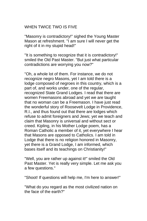## WHEN TWICE TWO IS FIVE

"Masonry is contradictory!" sighed the Young Master Mason at refreshment. "I am sure I will never get the right of it in my stupid head!"

"It is something to recognize that it is contradictory!" smiled the Old Past Master. "But just what particular contradictions are worrying you now?"

"Oh, a whole lot of them. For instance, we do not recognize negro Masons, yet I am told there is a lodge composed of negroes in this country, which is a part of, and works under, one of the regular, recognized State Grand Lodges. I read that there are women Freemasons abroad and yet we are taught that no woman can be a Freemason. I have just read the wonderful story of Roosevelt Lodge in Providence, R.I., and thus found out that there are lodges which refuse to admit foreigners and Jews; yet we teach and claim that Masonry is universal and without sect or creed. Kipling, in his Mother Lodge poem, has a Roman Catholic a member of it, yet everywhere I hear that Masons are opposed to Catholics. I am told in Lodge that there is no religion honored in Masonry, yet there is a Grand Lodge, I am informed, which bases itself and its teachings on Christianity!"

"Well, you are rather up against it!" smiled the Old Past Master. Yet is really very simple. Let me ask you a few questions."

"Shoot! If questions will help me, I'm here to answer!"

"What do you regard as the most civilized nation on the face of the earth?"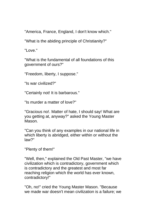"America, France, England, I don't know which."

"What is the abiding principle of Christianity?"

"Love."

"What is the fundamental of all foundations of this government of ours?"

"Freedom, liberty, I suppose."

"Is war civilized?"

"Certainly not! It is barbarous."

"Is murder a matter of love?"

"Gracious no!. Matter of hate, I should say! What are you getting at, anyway?" asked the Young Master Mason.

"Can you think of any examples in our national life in which liberty is abridged, either within or without the law?"

"Plenty of them!"

"Well, then," explained the Old Past Master, "we have civilization which is contradictory, government which is contradictory and the greatest and most far reaching religion which the world has ever known, contradictory!"

"Oh, no!" cried the Young Master Mason. "Because we made war doesn't mean civilization is a failure; we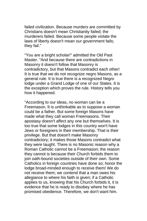failed civilization. Because murders are committed by Christians doesn't mean Christianity failed; the murderers failed. Because some people violate the laws of liberty doesn't mean our government fails; they fail."

"You are a bright scholar!" admitted the Old Past Master. "And because there are contradictions in Masonry it doesn't follow that Masonry is contradictory, but that Masons contradict each other! It is true that we do not recognize negro Masons, as a general rule. It is true there is a recognized Negro lodge under a Grand Lodge of one of our States. It is the exception which proves the rule. History tells you how it happened.

"According to our ideas, no woman can be a Freemason. It is unthinkable as to suppose a woman could be a father. But some foreign Masons have made what they call woman Freemasons. Their apostasy doesn't affect any one but themselves. It is too true that some lodges in this country won't have Jews or foreigners in their membership. That is their privilege. But that doesn't make Masonry contradictory; it makes those Masons contradict what they were taught. There is no Masonic reason why a Roman Catholic cannot be a Freemason; the reason they cannot is because their Church forbids them to join oath-bound societies outside of their own. Some Catholics in foreign countries have done so; honor the lodge broad-minded enough to receive them! We do not receive them; we contend that a man owes his allegiance to where his faith is given; if a Catholic applies to us, knowing that his Church forbids it, it is evidence that he is ready to disobey where he has promised obedience. Therefore, we don't want him.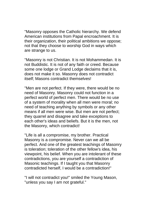"Masonry opposes the Catholic hierarchy. We defend American institutions from Papal encroachment. It is their organization, their political ambitions we oppose; not that they choose to worship God in ways which are strange to us.

"Masonry is not Christian. It is not Mohammedan. It is not Buddistic. It is not of any faith or creed. Because some one lodge or Grand Lodge declaims that it is, does not make it so. Masonry does not contradict itself; Masons contradict themselves!

"Men are not perfect. If they were, there would be no need of Masonry. Masonry could not function in a perfect world of perfect men. There would be no use of a system of morality when all men were moral; no need of teaching anything by symbols or any other means if all men were wise. But men are not perfect; they quarrel and disagree and take exceptions to each other's ideas and beliefs. But it is the men, not the Masonry, which contradict!

"Life is all a compromise, my brother. Practical Masonry is a compromise. Never can we all be perfect. And one of the greatest teachings of Masonry is toleration; toleration of the other fellow's idea, his viewpoint, his belief. When you are intolerant of these contradictions, you are yourself a contradiction of Masonic teachings. If I taught you that Masonry contradicted herself, I would be a contradiction!"

"I will not contradict you!" smiled the Young Mason, "unless you say I am not grateful."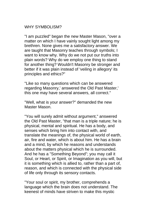#### WHY SYMBOLISM?

"I am puzzled" began the new Master Mason, "over a matter on which I have vainly sought light among my brethren. None gives me a satisfactory answer. We are taught that Masonry teaches through symbols; I want to know why. Why do we not put our truths into plain words? Why do we employ one thing to stand for another thing? Wouldn't Masonry be stronger and better if it was plain instead of 'veiling in allegory' its principles and ethics?"

"Like so many questions which can be answered regarding Masonry,' answered the Old Past Master,' this one may have several answers, all correct."

"Well, what is your answer?" demanded the new Master Mason.

"You will surely admit without argument," answered the Old Past Master, "that man is a triple nature; he is physical, mental and spiritual. He has a body, and senses which bring him into contact with, and translate the meanings of, the physical world of earth, air, fire and water, which is about him. He has a brain and a mind, by which he reasons and understands about the matters physical which he is surrounded. And he has a "Something Beyond"; you may call it Soul, or Heart, or Spirit, or Imagination as you will, but it is something which is allied to, rather than a part of, reason, and which is connected with the physical side of life only through its sensory contacts.

"Your soul or spirit, my brother, comprehends a language which the brain does not understand. The keenest of minds have striven to make this mystic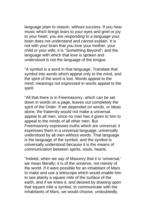language plain to reason, without success. If you hear music which brings tears to your eyes and grief or joy to your heart, you are responding to a language your brain does not understand and cannot explain. It is not with your brain that you love your mother, your child or your wife; it is "Something Beyond"; and the language with which that love is spoken and understood is not the language of the tongue.

"A symbol is a word in that language. Translate that symbol into words which appeal only to the mind, and the spirit of the word is lost. Words appeal to the mind; meanings not expressed in words appeal to the spirit.

"All that there is in Freemasonry, which can be set down in words on a page, leaves out completely the spirit of the Order. If we depended on words, or ideas alone, the fraternity would not make a universal appeal to all men, since no man has it given to him to appeal to the minds of all other men. But Freemasonry expresses truths which are universal; it expresses them in a universal language, universally understood by all men without words. That language is the language of the symbol, and the symbol is universally understood because it is the means of communication between spirits, souls, hearts.

"Indeed, when we say of Masonry that it is 'universal,' we mean literally; it is of the universe, not merely of the world. If it were possible for an inhabitant of Mars to make and use a telescope which would enable him to see plainly a square mile of the surface of the earth, and if we knew it, and desired by drawing upon that square mile a symbol, to communicate with the inhabitants of Mars, we would choose, undoubtedly,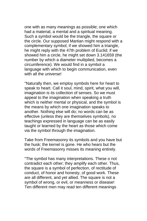one with as many meanings as possible; one which had a material, a mental and a spiritual meaning. Such a symbol would be the triangle, the square or the circle. Our supposed Martian might respond with a complementary symbol; if we showed him a triangle, he might reply with the 47th problem of Euclid; if we showed him a circle, he might set down 3.141659 (the number by which a diameter multiplied, becomes a circumference). We would find in a symbol a language with which to begin communication, even with all the universe!

"Naturally then, we employ symbols here for heart to speak to heart. Call it soul, mind, spirit, what you will, imagination is its collection of senses. So we must appeal to the imagination when speaking a truth which is neither mental or physical, and the symbol is the means by which one imagination speaks to another. Nothing else will do; no words can be as effective (unless they are themselves symbols), no teachings expressed in language can be as easily taught or learned by the heart as those which come via the symbol through the imagination.

Take from Freemasonry its symbols and you have but the husk; the kernel is gone. He who hears but the words of Freemasonry misses its meaning entirely.

"The symbol has many interpretations. These o not contradict each other; they amplify each other. Thus, the square is a symbol of perfection, of rectitude of conduct, of honor and honesty, of good work. These are all different, and yet allied. The square is not a symbol of wrong, or evil, or meanness or disease! Ten different men may read ten different meanings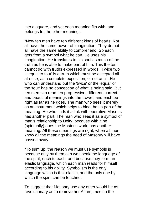into a square, and yet each meaning fits with, and belongs to, the other meanings.

"Now ten men have ten different kinds of hearts. Not all have the same power of imagination. They do not all have the same ability to comprehend. So each gets from a symbol what he can. He uses his imagination. He translates to his soul as much of the truth as he is able to make part of him. This the ten cannot do with truths expressed in words. 'Twice two is equal to four' is a truth which must be accepted all at once, as a complete exposition, or not at all. He who can understand but the 'twice' or the 'equal' or the 'four' has no conception of what is being said. But ten men can read ten progressive, different, correct and beautiful meanings into the trowel, and each be right as far as he goes. The man who sees it merely as an instrument which helps to bind, has a part of the meaning. He who finds it a link with operative Masons has another part. The man who sees it as a symbol of man's relationship to Deity, because with it he (spiritually) does the Master's work, has another meaning. All these meanings are right; when all men know all the meanings the need of Masonry will have passed away.

"To sum up, the reason we must use symbols is because only by them can we speak the language of the spirit, each to each, and because they form an elastic language, which each man reads for himself according to his ability. Symbolism is the only language which is that elastic, and the only one by which the spirit can be touched.

To suggest that Masonry use any other would be as revolutionary as to remove her Altars, meet in the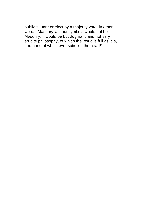public square or elect by a majority vote! In other words, Masonry without symbols would not be Masonry; it would be but dogmatic and not very erudite philosophy, of which the world is full as it is, and none of which ever satisfies the heart!"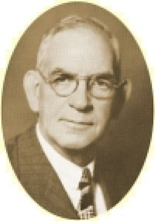